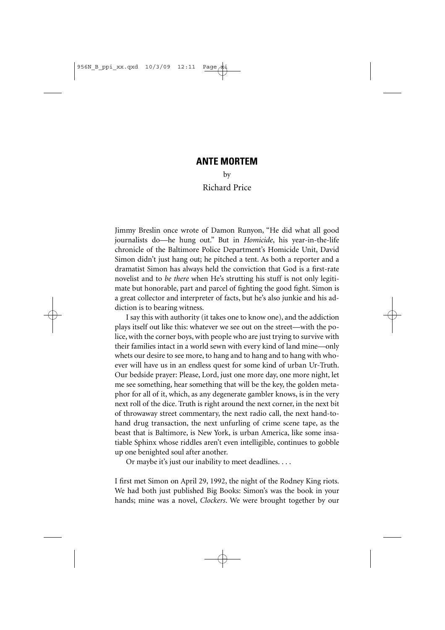# **ANTE MORTEM**

# by Richard Price

Jimmy Breslin once wrote of Damon Runyon, "He did what all good journalists do—he hung out." But in *Homicide*, his year-in-the-life chronicle of the Baltimore Police Department's Homicide Unit, David Simon didn't just hang out; he pitched a tent. As both a reporter and a dramatist Simon has always held the conviction that God is a first-rate novelist and to *be there* when He's strutting his stuff is not only legitimate but honorable, part and parcel of fighting the good fight. Simon is a great collector and interpreter of facts, but he's also junkie and his addiction is to bearing witness.

I say this with authority (it takes one to know one), and the addiction plays itself out like this: whatever we see out on the street—with the police, with the corner boys, with people who are just trying to survive with their families intact in a world sewn with every kind of land mine—only whets our desire to see more, to hang and to hang and to hang with whoever will have us in an endless quest for some kind of urban Ur-Truth. Our bedside prayer: Please, Lord, just one more day, one more night, let me see something, hear something that will be the key, the golden metaphor for all of it, which, as any degenerate gambler knows, is in the very next roll of the dice. Truth is right around the next corner, in the next bit of throwaway street commentary, the next radio call, the next hand-tohand drug transaction, the next unfurling of crime scene tape, as the beast that is Baltimore, is New York, is urban America, like some insatiable Sphinx whose riddles aren't even intelligible, continues to gobble up one benighted soul after another.

Or maybe it's just our inability to meet deadlines....

I first met Simon on April 29, 1992, the night of the Rodney King riots. We had both just published Big Books: Simon's was the book in your hands; mine was a novel, *Clockers*. We were brought together by our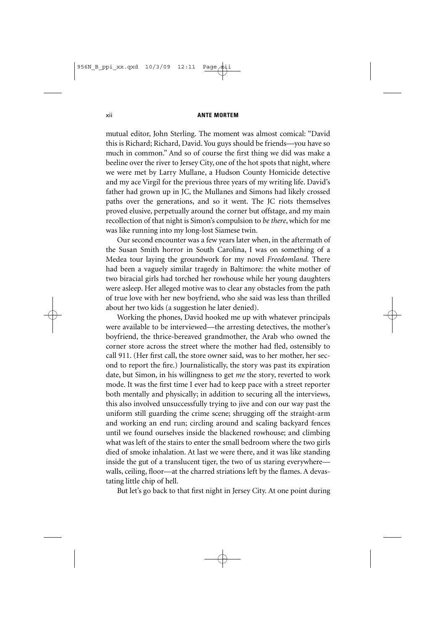#### xii **ANTE MORTEM**

mutual editor, John Sterling. The moment was almost comical: "David this is Richard; Richard, David. You guys should be friends—you have so much in common." And so of course the first thing we did was make a beeline over the river to Jersey City, one of the hot spots that night, where we were met by Larry Mullane, a Hudson County Homicide detective and my ace Virgil for the previous three years of my writing life. David's father had grown up in JC, the Mullanes and Simons had likely crossed paths over the generations, and so it went. The JC riots themselves proved elusive, perpetually around the corner but offstage, and my main recollection of that night is Simon's compulsion to *be there*, which for me was like running into my long-lost Siamese twin.

Our second encounter was a few years later when, in the aftermath of the Susan Smith horror in South Carolina, I was on something of a Medea tour laying the groundwork for my novel *Freedomland.* There had been a vaguely similar tragedy in Baltimore: the white mother of two biracial girls had torched her rowhouse while her young daughters were asleep. Her alleged motive was to clear any obstacles from the path of true love with her new boyfriend, who she said was less than thrilled about her two kids (a suggestion he later denied).

Working the phones, David hooked me up with whatever principals were available to be interviewed—the arresting detectives, the mother's boyfriend, the thrice-bereaved grandmother, the Arab who owned the corner store across the street where the mother had fled, ostensibly to call 911. (Her first call, the store owner said, was to her mother, her second to report the fire.) Journalistically, the story was past its expiration date, but Simon, in his willingness to get *me* the story, reverted to work mode. It was the first time I ever had to keep pace with a street reporter both mentally and physically; in addition to securing all the interviews, this also involved unsuccessfully trying to jive and con our way past the uniform still guarding the crime scene; shrugging off the straight-arm and working an end run; circling around and scaling backyard fences until we found ourselves inside the blackened rowhouse; and climbing what was left of the stairs to enter the small bedroom where the two girls died of smoke inhalation. At last we were there, and it was like standing inside the gut of a translucent tiger, the two of us staring everywhere walls, ceiling, floor—at the charred striations left by the flames. A devastating little chip of hell.

But let's go back to that first night in Jersey City. At one point during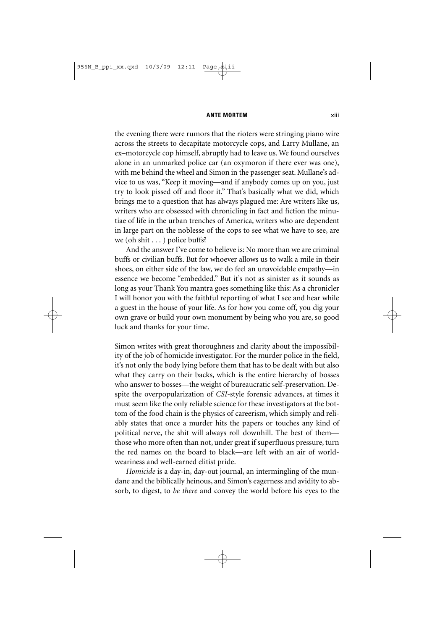#### **ANTE MORTEM** xiii

the evening there were rumors that the rioters were stringing piano wire across the streets to decapitate motorcycle cops, and Larry Mullane, an ex–motorcycle cop himself, abruptly had to leave us. We found ourselves alone in an unmarked police car (an oxymoron if there ever was one), with me behind the wheel and Simon in the passenger seat. Mullane's advice to us was, "Keep it moving—and if anybody comes up on you, just try to look pissed off and floor it." That's basically what we did, which brings me to a question that has always plagued me: Are writers like us, writers who are obsessed with chronicling in fact and fiction the minutiae of life in the urban trenches of America, writers who are dependent in large part on the noblesse of the cops to see what we have to see, are we (oh shit . . . ) police buffs?

And the answer I've come to believe is: No more than we are criminal buffs or civilian buffs. But for whoever allows us to walk a mile in their shoes, on either side of the law, we do feel an unavoidable empathy—in essence we become "embedded." But it's not as sinister as it sounds as long as your Thank You mantra goes something like this: As a chronicler I will honor you with the faithful reporting of what I see and hear while a guest in the house of your life. As for how you come off, you dig your own grave or build your own monument by being who you are, so good luck and thanks for your time.

Simon writes with great thoroughness and clarity about the impossibility of the job of homicide investigator. For the murder police in the field, it's not only the body lying before them that has to be dealt with but also what they carry on their backs, which is the entire hierarchy of bosses who answer to bosses—the weight of bureaucratic self-preservation. Despite the overpopularization of *CSI*-style forensic advances, at times it must seem like the only reliable science for these investigators at the bottom of the food chain is the physics of careerism, which simply and reliably states that once a murder hits the papers or touches any kind of political nerve, the shit will always roll downhill. The best of them those who more often than not, under great if superfluous pressure, turn the red names on the board to black—are left with an air of worldweariness and well-earned elitist pride.

*Homicide* is a day-in, day-out journal, an intermingling of the mundane and the biblically heinous, and Simon's eagerness and avidity to absorb, to digest, to *be there* and convey the world before his eyes to the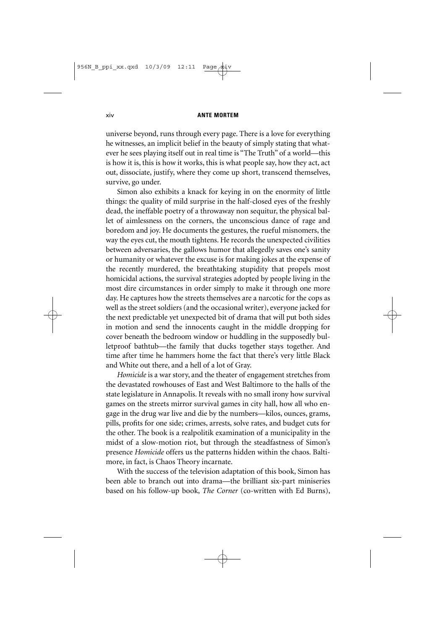#### xiv **ANTE MORTEM**

universe beyond, runs through every page. There is a love for everything he witnesses, an implicit belief in the beauty of simply stating that whatever he sees playing itself out in real time is "The Truth" of a world—this is how it is, this is how it works, this is what people say, how they act, act out, dissociate, justify, where they come up short, transcend themselves, survive, go under.

Simon also exhibits a knack for keying in on the enormity of little things: the quality of mild surprise in the half-closed eyes of the freshly dead, the ineffable poetry of a throwaway non sequitur, the physical ballet of aimlessness on the corners, the unconscious dance of rage and boredom and joy. He documents the gestures, the rueful misnomers, the way the eyes cut, the mouth tightens. He records the unexpected civilities between adversaries, the gallows humor that allegedly saves one's sanity or humanity or whatever the excuse is for making jokes at the expense of the recently murdered, the breathtaking stupidity that propels most homicidal actions, the survival strategies adopted by people living in the most dire circumstances in order simply to make it through one more day. He captures how the streets themselves are a narcotic for the cops as well as the street soldiers (and the occasional writer), everyone jacked for the next predictable yet unexpected bit of drama that will put both sides in motion and send the innocents caught in the middle dropping for cover beneath the bedroom window or huddling in the supposedly bulletproof bathtub—the family that ducks together stays together. And time after time he hammers home the fact that there's very little Black and White out there, and a hell of a lot of Gray.

*Homicide* is a war story, and the theater of engagement stretches from the devastated rowhouses of East and West Baltimore to the halls of the state legislature in Annapolis. It reveals with no small irony how survival games on the streets mirror survival games in city hall, how all who engage in the drug war live and die by the numbers—kilos, ounces, grams, pills, profits for one side; crimes, arrests, solve rates, and budget cuts for the other. The book is a realpolitik examination of a municipality in the midst of a slow-motion riot, but through the steadfastness of Simon's presence *Homicide* offers us the patterns hidden within the chaos. Baltimore, in fact, is Chaos Theory incarnate.

With the success of the television adaptation of this book, Simon has been able to branch out into drama—the brilliant six-part miniseries based on his follow-up book, *The Corner* (co-written with Ed Burns),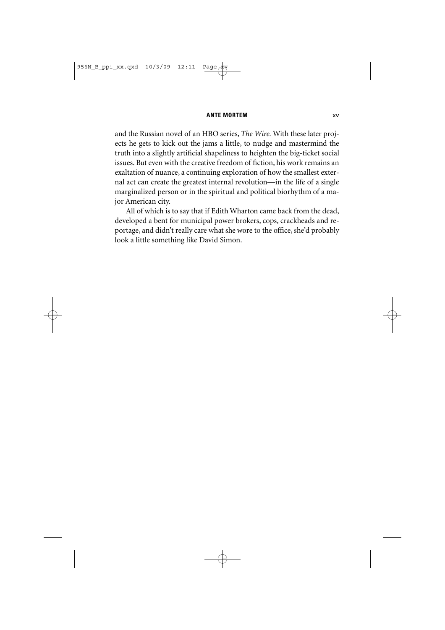#### **ANTE MORTEM** xv

and the Russian novel of an HBO series, *The Wire.* With these later projects he gets to kick out the jams a little, to nudge and mastermind the truth into a slightly artificial shapeliness to heighten the big-ticket social issues. But even with the creative freedom of fiction, his work remains an exaltation of nuance, a continuing exploration of how the smallest external act can create the greatest internal revolution—in the life of a single marginalized person or in the spiritual and political biorhythm of a major American city.

All of which is to say that if Edith Wharton came back from the dead, developed a bent for municipal power brokers, cops, crackheads and reportage, and didn't really care what she wore to the office, she'd probably look a little something like David Simon.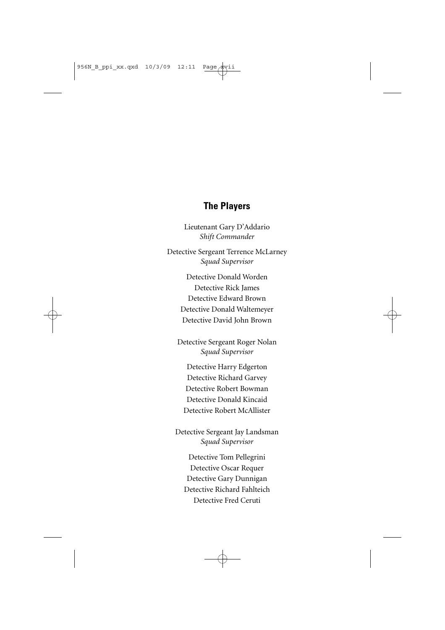# **The Players**

Lieutenant Gary D'Addario *Shift Commander*

Detective Sergeant Terrence McLarney *Squad Supervisor*

> Detective Donald Worden Detective Rick James Detective Edward Brown Detective Donald Waltemeyer Detective David John Brown

Detective Sergeant Roger Nolan *Squad Supervisor*

Detective Harry Edgerton Detective Richard Garvey Detective Robert Bowman Detective Donald Kincaid Detective Robert McAllister

Detective Sergeant Jay Landsman *Squad Supervisor*

Detective Tom Pellegrini Detective Oscar Requer Detective Gary Dunnigan Detective Richard Fahlteich Detective Fred Ceruti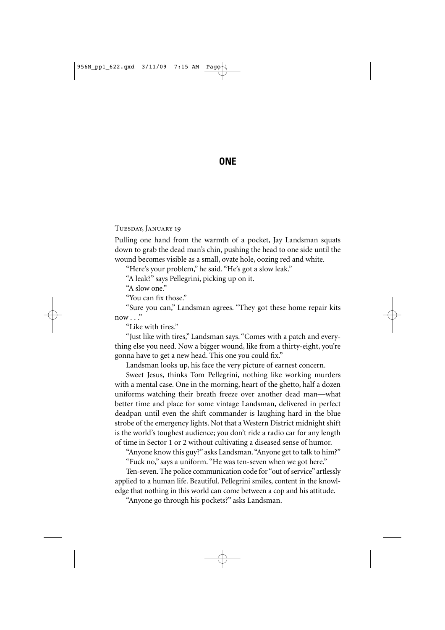## Tuesday, January 19

Pulling one hand from the warmth of a pocket, Jay Landsman squats down to grab the dead man's chin, pushing the head to one side until the wound becomes visible as a small, ovate hole, oozing red and white.

"Here's your problem," he said. "He's got a slow leak."

"A leak?" says Pellegrini, picking up on it.

"A slow one."

"You can fix those."

"Sure you can," Landsman agrees. "They got these home repair kits  $now \dots$ "

"Like with tires."

"Just like with tires," Landsman says. "Comes with a patch and everything else you need. Now a bigger wound, like from a thirty-eight, you're gonna have to get a new head. This one you could fix."

Landsman looks up, his face the very picture of earnest concern.

Sweet Jesus, thinks Tom Pellegrini, nothing like working murders with a mental case. One in the morning, heart of the ghetto, half a dozen uniforms watching their breath freeze over another dead man—what better time and place for some vintage Landsman, delivered in perfect deadpan until even the shift commander is laughing hard in the blue strobe of the emergency lights. Not that a Western District midnight shift is the world's toughest audience; you don't ride a radio car for any length of time in Sector 1 or 2 without cultivating a diseased sense of humor.

"Anyone know this guy?" asks Landsman."Anyone get to talk to him?" "Fuck no," says a uniform. "He was ten-seven when we got here."

Ten-seven. The police communication code for "out of service" artlessly applied to a human life. Beautiful. Pellegrini smiles, content in the knowledge that nothing in this world can come between a cop and his attitude.

"Anyone go through his pockets?" asks Landsman.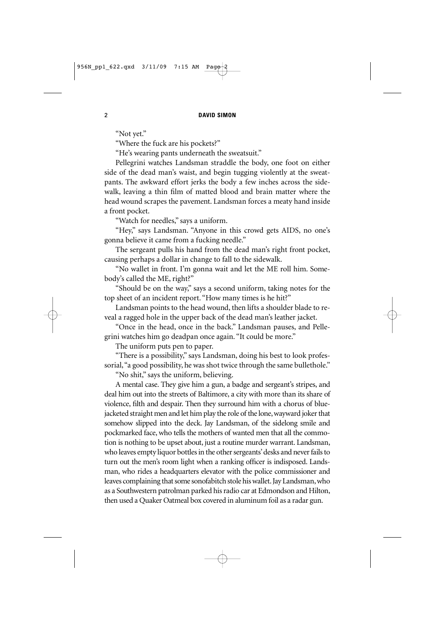"Not yet."

"Where the fuck are his pockets?"

"He's wearing pants underneath the sweatsuit."

Pellegrini watches Landsman straddle the body, one foot on either side of the dead man's waist, and begin tugging violently at the sweatpants. The awkward effort jerks the body a few inches across the sidewalk, leaving a thin film of matted blood and brain matter where the head wound scrapes the pavement. Landsman forces a meaty hand inside a front pocket.

"Watch for needles," says a uniform.

"Hey," says Landsman. "Anyone in this crowd gets AIDS, no one's gonna believe it came from a fucking needle."

The sergeant pulls his hand from the dead man's right front pocket, causing perhaps a dollar in change to fall to the sidewalk.

"No wallet in front. I'm gonna wait and let the ME roll him. Somebody's called the ME, right?"

"Should be on the way," says a second uniform, taking notes for the top sheet of an incident report. "How many times is he hit?"

Landsman points to the head wound, then lifts a shoulder blade to reveal a ragged hole in the upper back of the dead man's leather jacket.

"Once in the head, once in the back." Landsman pauses, and Pellegrini watches him go deadpan once again. "It could be more."

The uniform puts pen to paper.

"There is a possibility," says Landsman, doing his best to look professorial, "a good possibility, he was shot twice through the same bullethole."

"No shit," says the uniform, believing.

A mental case. They give him a gun, a badge and sergeant's stripes, and deal him out into the streets of Baltimore, a city with more than its share of violence, filth and despair. Then they surround him with a chorus of bluejacketed straight men and let him play the role of the lone, wayward joker that somehow slipped into the deck. Jay Landsman, of the sidelong smile and pockmarked face, who tells the mothers of wanted men that all the commotion is nothing to be upset about, just a routine murder warrant. Landsman, who leaves empty liquor bottles in the other sergeants'desks and never fails to turn out the men's room light when a ranking officer is indisposed. Landsman, who rides a headquarters elevator with the police commissioner and leaves complaining that some sonofabitch stole his wallet. Jay Landsman, who as a Southwestern patrolman parked his radio car at Edmondson and Hilton, then used a Quaker Oatmeal box covered in aluminum foil as a radar gun.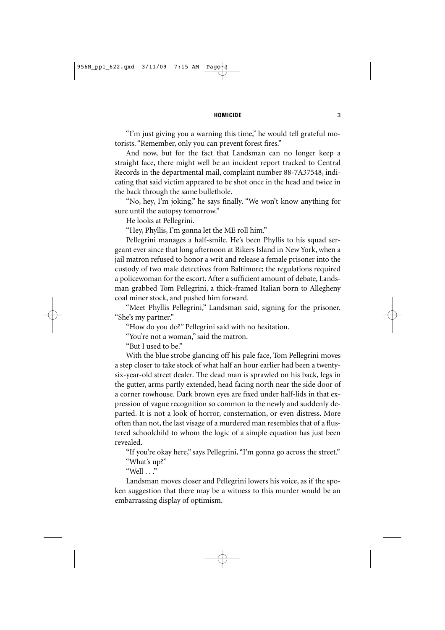"I'm just giving you a warning this time," he would tell grateful motorists. "Remember, only you can prevent forest fires."

And now, but for the fact that Landsman can no longer keep a straight face, there might well be an incident report tracked to Central Records in the departmental mail, complaint number 88-7A37548, indicating that said victim appeared to be shot once in the head and twice in the back through the same bullethole.

"No, hey, I'm joking," he says finally. "We won't know anything for sure until the autopsy tomorrow."

He looks at Pellegrini.

"Hey, Phyllis, I'm gonna let the ME roll him."

Pellegrini manages a half-smile. He's been Phyllis to his squad sergeant ever since that long afternoon at Rikers Island in New York, when a jail matron refused to honor a writ and release a female prisoner into the custody of two male detectives from Baltimore; the regulations required a policewoman for the escort. After a sufficient amount of debate, Landsman grabbed Tom Pellegrini, a thick-framed Italian born to Allegheny coal miner stock, and pushed him forward.

"Meet Phyllis Pellegrini," Landsman said, signing for the prisoner. "She's my partner."

"How do you do?" Pellegrini said with no hesitation.

"You're not a woman," said the matron.

"But I used to be."

With the blue strobe glancing off his pale face, Tom Pellegrini moves a step closer to take stock of what half an hour earlier had been a twentysix-year-old street dealer. The dead man is sprawled on his back, legs in the gutter, arms partly extended, head facing north near the side door of a corner rowhouse. Dark brown eyes are fixed under half-lids in that expression of vague recognition so common to the newly and suddenly departed. It is not a look of horror, consternation, or even distress. More often than not, the last visage of a murdered man resembles that of a flustered schoolchild to whom the logic of a simple equation has just been revealed.

"If you're okay here," says Pellegrini, "I'm gonna go across the street." "What's up?"

"Well  $\ldots$ "

Landsman moves closer and Pellegrini lowers his voice, as if the spoken suggestion that there may be a witness to this murder would be an embarrassing display of optimism.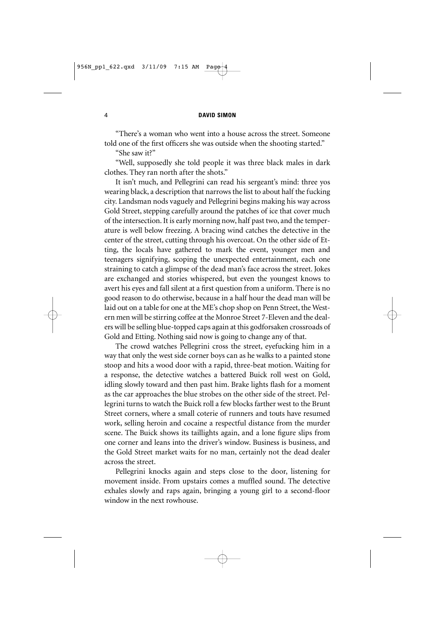"There's a woman who went into a house across the street. Someone told one of the first officers she was outside when the shooting started."

"She saw it?"

"Well, supposedly she told people it was three black males in dark clothes. They ran north after the shots."

It isn't much, and Pellegrini can read his sergeant's mind: three yos wearing black, a description that narrows the list to about half the fucking city. Landsman nods vaguely and Pellegrini begins making his way across Gold Street, stepping carefully around the patches of ice that cover much of the intersection. It is early morning now, half past two, and the temperature is well below freezing. A bracing wind catches the detective in the center of the street, cutting through his overcoat. On the other side of Etting, the locals have gathered to mark the event, younger men and teenagers signifying, scoping the unexpected entertainment, each one straining to catch a glimpse of the dead man's face across the street. Jokes are exchanged and stories whispered, but even the youngest knows to avert his eyes and fall silent at a first question from a uniform. There is no good reason to do otherwise, because in a half hour the dead man will be laid out on a table for one at the ME's chop shop on Penn Street, the Western men will be stirring coffee at the Monroe Street 7-Eleven and the dealers will be selling blue-topped caps again at this godforsaken crossroads of Gold and Etting. Nothing said now is going to change any of that.

The crowd watches Pellegrini cross the street, eyefucking him in a way that only the west side corner boys can as he walks to a painted stone stoop and hits a wood door with a rapid, three-beat motion. Waiting for a response, the detective watches a battered Buick roll west on Gold, idling slowly toward and then past him. Brake lights flash for a moment as the car approaches the blue strobes on the other side of the street. Pellegrini turns to watch the Buick roll a few blocks farther west to the Brunt Street corners, where a small coterie of runners and touts have resumed work, selling heroin and cocaine a respectful distance from the murder scene. The Buick shows its taillights again, and a lone figure slips from one corner and leans into the driver's window. Business is business, and the Gold Street market waits for no man, certainly not the dead dealer across the street.

Pellegrini knocks again and steps close to the door, listening for movement inside. From upstairs comes a muffled sound. The detective exhales slowly and raps again, bringing a young girl to a second-floor window in the next rowhouse.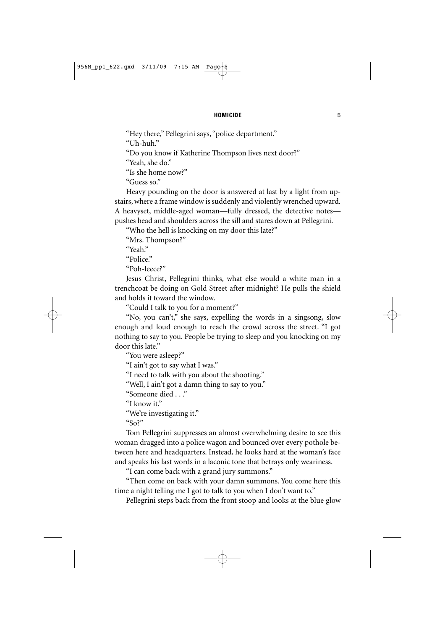"Hey there," Pellegrini says, "police department."

"Uh-huh."

"Do you know if Katherine Thompson lives next door?"

"Yeah, she do."

"Is she home now?"

"Guess so."

Heavy pounding on the door is answered at last by a light from upstairs, where a frame window is suddenly and violently wrenched upward. A heavyset, middle-aged woman—fully dressed, the detective notes pushes head and shoulders across the sill and stares down at Pellegrini.

"Who the hell is knocking on my door this late?"

"Mrs. Thompson?"

"Yeah"

"Police"

"Poh-leece?"

Jesus Christ, Pellegrini thinks, what else would a white man in a trenchcoat be doing on Gold Street after midnight? He pulls the shield and holds it toward the window.

"Could I talk to you for a moment?"

"No, you can't," she says, expelling the words in a singsong, slow enough and loud enough to reach the crowd across the street. "I got nothing to say to you. People be trying to sleep and you knocking on my door this late."

"You were asleep?"

"I ain't got to say what I was."

"I need to talk with you about the shooting."

"Well, I ain't got a damn thing to say to you."

"Someone died . . ."

"I know it."

"We're investigating it."

"So?"

Tom Pellegrini suppresses an almost overwhelming desire to see this woman dragged into a police wagon and bounced over every pothole between here and headquarters. Instead, he looks hard at the woman's face and speaks his last words in a laconic tone that betrays only weariness.

"I can come back with a grand jury summons."

"Then come on back with your damn summons. You come here this time a night telling me I got to talk to you when I don't want to."

Pellegrini steps back from the front stoop and looks at the blue glow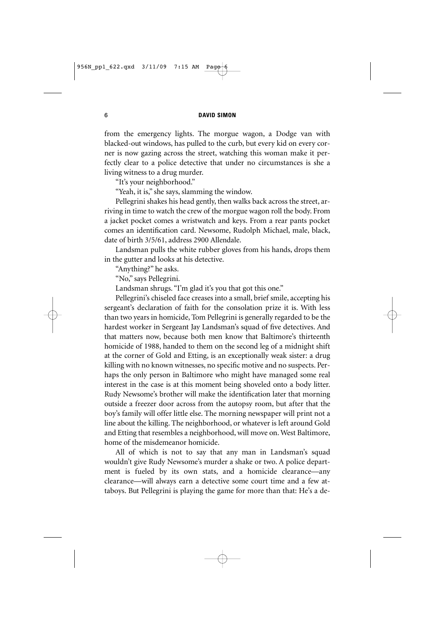from the emergency lights. The morgue wagon, a Dodge van with blacked-out windows, has pulled to the curb, but every kid on every corner is now gazing across the street, watching this woman make it perfectly clear to a police detective that under no circumstances is she a living witness to a drug murder.

"It's your neighborhood."

"Yeah, it is," she says, slamming the window.

Pellegrini shakes his head gently, then walks back across the street, arriving in time to watch the crew of the morgue wagon roll the body. From a jacket pocket comes a wristwatch and keys. From a rear pants pocket comes an identification card. Newsome, Rudolph Michael, male, black, date of birth 3/5/61, address 2900 Allendale.

Landsman pulls the white rubber gloves from his hands, drops them in the gutter and looks at his detective.

"Anything?" he asks.

"No," says Pellegrini.

Landsman shrugs. "I'm glad it's you that got this one."

Pellegrini's chiseled face creases into a small, brief smile, accepting his sergeant's declaration of faith for the consolation prize it is. With less than two years in homicide, Tom Pellegrini is generally regarded to be the hardest worker in Sergeant Jay Landsman's squad of five detectives. And that matters now, because both men know that Baltimore's thirteenth homicide of 1988, handed to them on the second leg of a midnight shift at the corner of Gold and Etting, is an exceptionally weak sister: a drug killing with no known witnesses, no specific motive and no suspects. Perhaps the only person in Baltimore who might have managed some real interest in the case is at this moment being shoveled onto a body litter. Rudy Newsome's brother will make the identification later that morning outside a freezer door across from the autopsy room, but after that the boy's family will offer little else. The morning newspaper will print not a line about the killing. The neighborhood, or whatever is left around Gold and Etting that resembles a neighborhood, will move on. West Baltimore, home of the misdemeanor homicide.

All of which is not to say that any man in Landsman's squad wouldn't give Rudy Newsome's murder a shake or two. A police department is fueled by its own stats, and a homicide clearance—any clearance—will always earn a detective some court time and a few attaboys. But Pellegrini is playing the game for more than that: He's a de-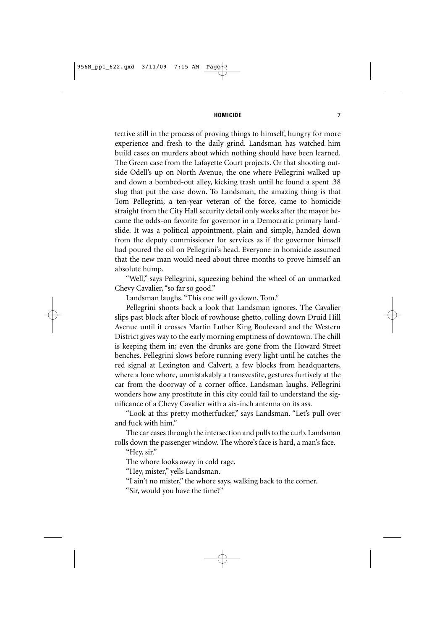tective still in the process of proving things to himself, hungry for more experience and fresh to the daily grind. Landsman has watched him build cases on murders about which nothing should have been learned. The Green case from the Lafayette Court projects. Or that shooting outside Odell's up on North Avenue, the one where Pellegrini walked up and down a bombed-out alley, kicking trash until he found a spent .38 slug that put the case down. To Landsman, the amazing thing is that Tom Pellegrini, a ten-year veteran of the force, came to homicide straight from the City Hall security detail only weeks after the mayor became the odds-on favorite for governor in a Democratic primary landslide. It was a political appointment, plain and simple, handed down from the deputy commissioner for services as if the governor himself had poured the oil on Pellegrini's head. Everyone in homicide assumed that the new man would need about three months to prove himself an absolute hump.

"Well," says Pellegrini, squeezing behind the wheel of an unmarked Chevy Cavalier, "so far so good."

Landsman laughs. "This one will go down, Tom."

Pellegrini shoots back a look that Landsman ignores. The Cavalier slips past block after block of rowhouse ghetto, rolling down Druid Hill Avenue until it crosses Martin Luther King Boulevard and the Western District gives way to the early morning emptiness of downtown. The chill is keeping them in; even the drunks are gone from the Howard Street benches. Pellegrini slows before running every light until he catches the red signal at Lexington and Calvert, a few blocks from headquarters, where a lone whore, unmistakably a transvestite, gestures furtively at the car from the doorway of a corner office. Landsman laughs. Pellegrini wonders how any prostitute in this city could fail to understand the significance of a Chevy Cavalier with a six-inch antenna on its ass.

"Look at this pretty motherfucker," says Landsman. "Let's pull over and fuck with him."

The car eases through the intersection and pulls to the curb. Landsman rolls down the passenger window. The whore's face is hard, a man's face.

"Hey, sir."

The whore looks away in cold rage.

"Hey, mister," yells Landsman.

"I ain't no mister," the whore says, walking back to the corner.

"Sir, would you have the time?"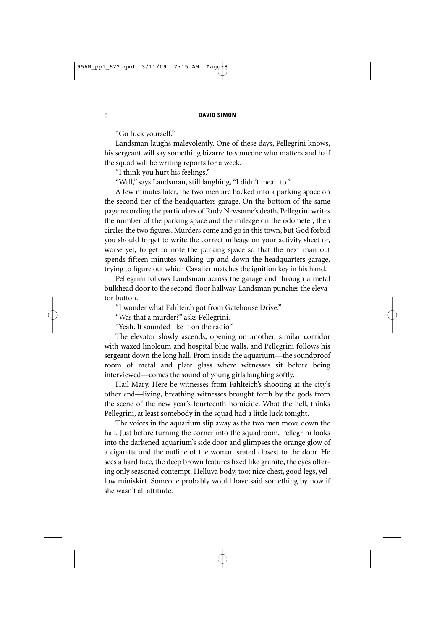"Go fuck yourself."

Landsman laughs malevolently. One of these days, Pellegrini knows, his sergeant will say something bizarre to someone who matters and half the squad will be writing reports for a week.

"I think you hurt his feelings."

"Well," says Landsman, still laughing, "I didn't mean to."

A few minutes later, the two men are backed into a parking space on the second tier of the headquarters garage. On the bottom of the same page recording the particulars of Rudy Newsome's death, Pellegrini writes the number of the parking space and the mileage on the odometer, then circles the two figures. Murders come and go in this town, but God forbid you should forget to write the correct mileage on your activity sheet or, worse yet, forget to note the parking space so that the next man out spends fifteen minutes walking up and down the headquarters garage, trying to figure out which Cavalier matches the ignition key in his hand.

Pellegrini follows Landsman across the garage and through a metal bulkhead door to the second-floor hallway. Landsman punches the elevator button.

"I wonder what Fahlteich got from Gatehouse Drive."

"Was that a murder?" asks Pellegrini.

"Yeah. It sounded like it on the radio."

The elevator slowly ascends, opening on another, similar corridor with waxed linoleum and hospital blue walls, and Pellegrini follows his sergeant down the long hall. From inside the aquarium—the soundproof room of metal and plate glass where witnesses sit before being interviewed—comes the sound of young girls laughing softly.

Hail Mary. Here be witnesses from Fahlteich's shooting at the city's other end—living, breathing witnesses brought forth by the gods from the scene of the new year's fourteenth homicide. What the hell, thinks Pellegrini, at least somebody in the squad had a little luck tonight.

The voices in the aquarium slip away as the two men move down the hall. Just before turning the corner into the squadroom, Pellegrini looks into the darkened aquarium's side door and glimpses the orange glow of a cigarette and the outline of the woman seated closest to the door. He sees a hard face, the deep brown features fixed like granite, the eyes offering only seasoned contempt. Helluva body, too: nice chest, good legs, yellow miniskirt. Someone probably would have said something by now if she wasn't all attitude.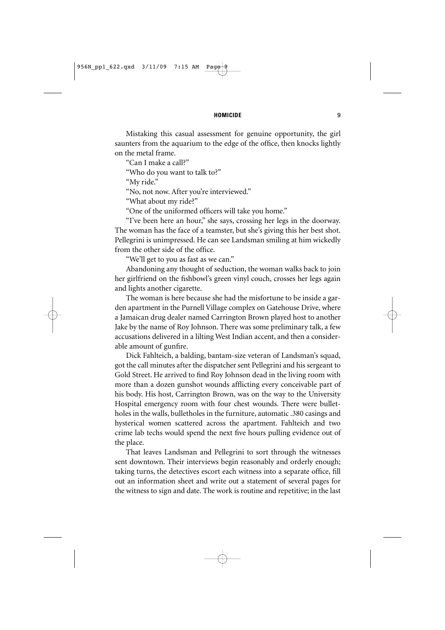Mistaking this casual assessment for genuine opportunity, the girl saunters from the aquarium to the edge of the office, then knocks lightly on the metal frame.

"Can I make a call?"

"Who do you want to talk to?"

"My ride."

"No, not now. After you're interviewed."

"What about my ride?"

"One of the uniformed officers will take you home."

"I've been here an hour," she says, crossing her legs in the doorway. The woman has the face of a teamster, but she's giving this her best shot. Pellegrini is unimpressed. He can see Landsman smiling at him wickedly from the other side of the office.

"We'll get to you as fast as we can."

Abandoning any thought of seduction, the woman walks back to join her girlfriend on the fishbowl's green vinyl couch, crosses her legs again and lights another cigarette.

The woman is here because she had the misfortune to be inside a garden apartment in the Purnell Village complex on Gatehouse Drive, where a Jamaican drug dealer named Carrington Brown played host to another Jake by the name of Roy Johnson. There was some preliminary talk, a few accusations delivered in a lilting West Indian accent, and then a considerable amount of gunfire.

Dick Fahlteich, a balding, bantam-size veteran of Landsman's squad, got the call minutes after the dispatcher sent Pellegrini and his sergeant to Gold Street. He arrived to find Roy Johnson dead in the living room with more than a dozen gunshot wounds afflicting every conceivable part of his body. His host, Carrington Brown, was on the way to the University Hospital emergency room with four chest wounds. There were bulletholes in the walls, bulletholes in the furniture, automatic .380 casings and hysterical women scattered across the apartment. Fahlteich and two crime lab techs would spend the next five hours pulling evidence out of the place.

That leaves Landsman and Pellegrini to sort through the witnesses sent downtown. Their interviews begin reasonably and orderly enough; taking turns, the detectives escort each witness into a separate office, fill out an information sheet and write out a statement of several pages for the witness to sign and date. The work is routine and repetitive; in the last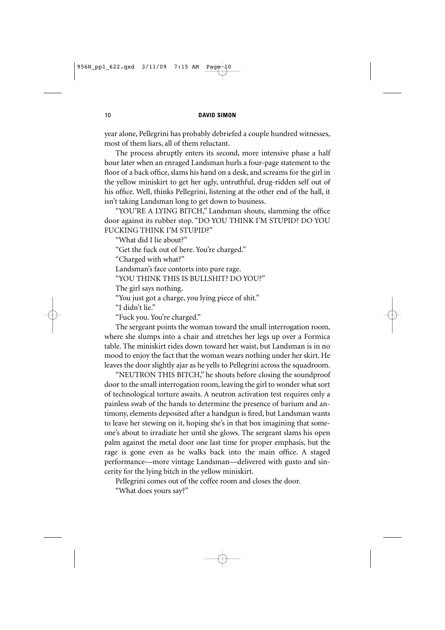year alone, Pellegrini has probably debriefed a couple hundred witnesses, most of them liars, all of them reluctant.

The process abruptly enters its second, more intensive phase a half hour later when an enraged Landsman hurls a four-page statement to the floor of a back office, slams his hand on a desk, and screams for the girl in the yellow miniskirt to get her ugly, untruthful, drug-ridden self out of his office. Well, thinks Pellegrini, listening at the other end of the hall, it isn't taking Landsman long to get down to business.

"YOU'RE A LYING BITCH," Landsman shouts, slamming the office door against its rubber stop. "DO YOU THINK I'M STUPID? DO YOU FUCKING THINK I'M STUPID?"

"What did I lie about?"

"Get the fuck out of here. You're charged."

"Charged with what?"

Landsman's face contorts into pure rage.

"YOU THINK THIS IS BULLSHIT? DO YOU?"

The girl says nothing.

"You just got a charge, you lying piece of shit."

"I didn't lie."

"Fuck you. You're charged."

The sergeant points the woman toward the small interrogation room, where she slumps into a chair and stretches her legs up over a Formica table. The miniskirt rides down toward her waist, but Landsman is in no mood to enjoy the fact that the woman wears nothing under her skirt. He leaves the door slightly ajar as he yells to Pellegrini across the squadroom.

"NEUTRON THIS BITCH," he shouts before closing the soundproof door to the small interrogation room, leaving the girl to wonder what sort of technological torture awaits. A neutron activation test requires only a painless swab of the hands to determine the presence of barium and antimony, elements deposited after a handgun is fired, but Landsman wants to leave her stewing on it, hoping she's in that box imagining that someone's about to irradiate her until she glows. The sergeant slams his open palm against the metal door one last time for proper emphasis, but the rage is gone even as he walks back into the main office. A staged performance—more vintage Landsman—delivered with gusto and sincerity for the lying bitch in the yellow miniskirt.

Pellegrini comes out of the coffee room and closes the door.

"What does yours say?"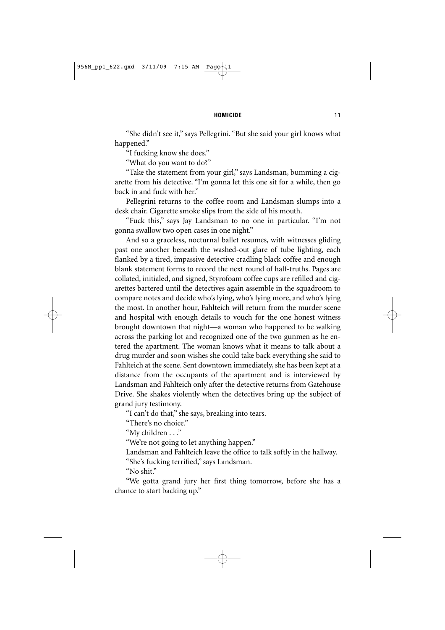"She didn't see it," says Pellegrini. "But she said your girl knows what happened."

"I fucking know she does."

"What do you want to do?"

"Take the statement from your girl," says Landsman, bumming a cigarette from his detective. "I'm gonna let this one sit for a while, then go back in and fuck with her."

Pellegrini returns to the coffee room and Landsman slumps into a desk chair. Cigarette smoke slips from the side of his mouth.

"Fuck this," says Jay Landsman to no one in particular. "I'm not gonna swallow two open cases in one night."

And so a graceless, nocturnal ballet resumes, with witnesses gliding past one another beneath the washed-out glare of tube lighting, each flanked by a tired, impassive detective cradling black coffee and enough blank statement forms to record the next round of half-truths. Pages are collated, initialed, and signed, Styrofoam coffee cups are refilled and cigarettes bartered until the detectives again assemble in the squadroom to compare notes and decide who's lying, who's lying more, and who's lying the most. In another hour, Fahlteich will return from the murder scene and hospital with enough details to vouch for the one honest witness brought downtown that night—a woman who happened to be walking across the parking lot and recognized one of the two gunmen as he entered the apartment. The woman knows what it means to talk about a drug murder and soon wishes she could take back everything she said to Fahlteich at the scene. Sent downtown immediately, she has been kept at a distance from the occupants of the apartment and is interviewed by Landsman and Fahlteich only after the detective returns from Gatehouse Drive. She shakes violently when the detectives bring up the subject of grand jury testimony.

"I can't do that," she says, breaking into tears.

"There's no choice."

"My children . . ."

"We're not going to let anything happen."

Landsman and Fahlteich leave the office to talk softly in the hallway.

"She's fucking terrified," says Landsman.

"No shit."

"We gotta grand jury her first thing tomorrow, before she has a chance to start backing up."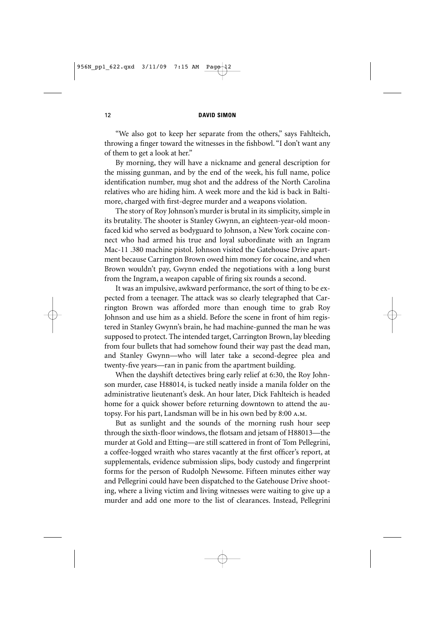"We also got to keep her separate from the others," says Fahlteich, throwing a finger toward the witnesses in the fishbowl. "I don't want any of them to get a look at her."

By morning, they will have a nickname and general description for the missing gunman, and by the end of the week, his full name, police identification number, mug shot and the address of the North Carolina relatives who are hiding him. A week more and the kid is back in Baltimore, charged with first-degree murder and a weapons violation.

The story of Roy Johnson's murder is brutal in its simplicity, simple in its brutality. The shooter is Stanley Gwynn, an eighteen-year-old moonfaced kid who served as bodyguard to Johnson, a New York cocaine connect who had armed his true and loyal subordinate with an Ingram Mac-11 .380 machine pistol. Johnson visited the Gatehouse Drive apartment because Carrington Brown owed him money for cocaine, and when Brown wouldn't pay, Gwynn ended the negotiations with a long burst from the Ingram, a weapon capable of firing six rounds a second.

It was an impulsive, awkward performance, the sort of thing to be expected from a teenager. The attack was so clearly telegraphed that Carrington Brown was afforded more than enough time to grab Roy Johnson and use him as a shield. Before the scene in front of him registered in Stanley Gwynn's brain, he had machine-gunned the man he was supposed to protect. The intended target, Carrington Brown, lay bleeding from four bullets that had somehow found their way past the dead man, and Stanley Gwynn—who will later take a second-degree plea and twenty-five years—ran in panic from the apartment building.

When the dayshift detectives bring early relief at 6:30, the Roy Johnson murder, case H88014, is tucked neatly inside a manila folder on the administrative lieutenant's desk. An hour later, Dick Fahlteich is headed home for a quick shower before returning downtown to attend the autopsy. For his part, Landsman will be in his own bed by 8:00 a.m.

But as sunlight and the sounds of the morning rush hour seep through the sixth-floor windows, the flotsam and jetsam of H88013—the murder at Gold and Etting—are still scattered in front of Tom Pellegrini, a coffee-logged wraith who stares vacantly at the first officer's report, at supplementals, evidence submission slips, body custody and fingerprint forms for the person of Rudolph Newsome. Fifteen minutes either way and Pellegrini could have been dispatched to the Gatehouse Drive shooting, where a living victim and living witnesses were waiting to give up a murder and add one more to the list of clearances. Instead, Pellegrini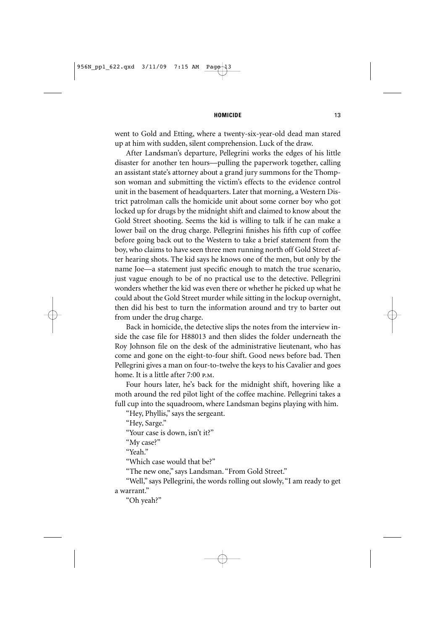went to Gold and Etting, where a twenty-six-year-old dead man stared up at him with sudden, silent comprehension. Luck of the draw.

After Landsman's departure, Pellegrini works the edges of his little disaster for another ten hours—pulling the paperwork together, calling an assistant state's attorney about a grand jury summons for the Thompson woman and submitting the victim's effects to the evidence control unit in the basement of headquarters. Later that morning, a Western District patrolman calls the homicide unit about some corner boy who got locked up for drugs by the midnight shift and claimed to know about the Gold Street shooting. Seems the kid is willing to talk if he can make a lower bail on the drug charge. Pellegrini finishes his fifth cup of coffee before going back out to the Western to take a brief statement from the boy, who claims to have seen three men running north off Gold Street after hearing shots. The kid says he knows one of the men, but only by the name Joe—a statement just specific enough to match the true scenario, just vague enough to be of no practical use to the detective. Pellegrini wonders whether the kid was even there or whether he picked up what he could about the Gold Street murder while sitting in the lockup overnight, then did his best to turn the information around and try to barter out from under the drug charge.

Back in homicide, the detective slips the notes from the interview inside the case file for H88013 and then slides the folder underneath the Roy Johnson file on the desk of the administrative lieutenant, who has come and gone on the eight-to-four shift. Good news before bad. Then Pellegrini gives a man on four-to-twelve the keys to his Cavalier and goes home. It is a little after 7:00 p.m.

Four hours later, he's back for the midnight shift, hovering like a moth around the red pilot light of the coffee machine. Pellegrini takes a full cup into the squadroom, where Landsman begins playing with him.

"Hey, Phyllis," says the sergeant.

"Hey, Sarge."

"Your case is down, isn't it?"

"My case?"

"Yeah."

"Which case would that be?"

"The new one," says Landsman. "From Gold Street."

"Well," says Pellegrini, the words rolling out slowly, "I am ready to get a warrant."

"Oh yeah?"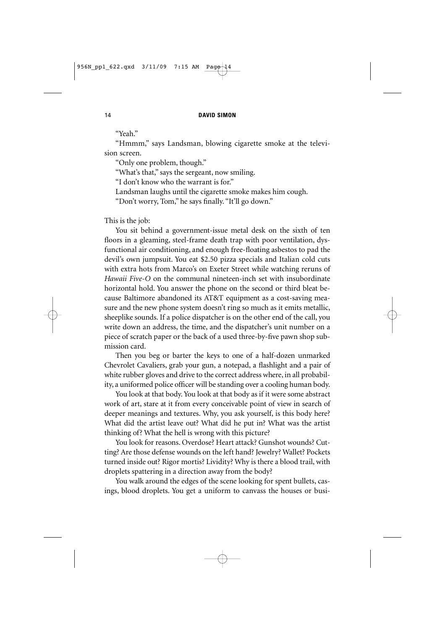"Yeah."

"Hmmm," says Landsman, blowing cigarette smoke at the television screen.

"Only one problem, though."

"What's that," says the sergeant, now smiling.

"I don't know who the warrant is for."

Landsman laughs until the cigarette smoke makes him cough.

"Don't worry, Tom," he says finally. "It'll go down."

This is the job:

You sit behind a government-issue metal desk on the sixth of ten floors in a gleaming, steel-frame death trap with poor ventilation, dysfunctional air conditioning, and enough free-floating asbestos to pad the devil's own jumpsuit. You eat \$2.50 pizza specials and Italian cold cuts with extra hots from Marco's on Exeter Street while watching reruns of *Hawaii Five-O* on the communal nineteen-inch set with insubordinate horizontal hold. You answer the phone on the second or third bleat because Baltimore abandoned its AT&T equipment as a cost-saving measure and the new phone system doesn't ring so much as it emits metallic, sheeplike sounds. If a police dispatcher is on the other end of the call, you write down an address, the time, and the dispatcher's unit number on a piece of scratch paper or the back of a used three-by-five pawn shop submission card.

Then you beg or barter the keys to one of a half-dozen unmarked Chevrolet Cavaliers, grab your gun, a notepad, a flashlight and a pair of white rubber gloves and drive to the correct address where, in all probability, a uniformed police officer will be standing over a cooling human body.

You look at that body. You look at that body as if it were some abstract work of art, stare at it from every conceivable point of view in search of deeper meanings and textures. Why, you ask yourself, is this body here? What did the artist leave out? What did he put in? What was the artist thinking of? What the hell is wrong with this picture?

You look for reasons. Overdose? Heart attack? Gunshot wounds? Cutting? Are those defense wounds on the left hand? Jewelry? Wallet? Pockets turned inside out? Rigor mortis? Lividity? Why is there a blood trail, with droplets spattering in a direction away from the body?

You walk around the edges of the scene looking for spent bullets, casings, blood droplets. You get a uniform to canvass the houses or busi-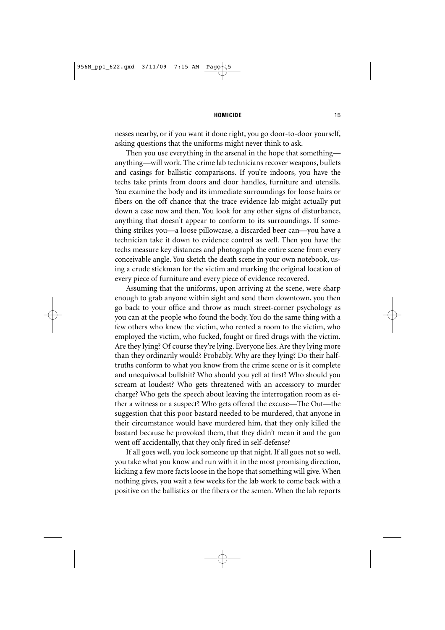nesses nearby, or if you want it done right, you go door-to-door yourself, asking questions that the uniforms might never think to ask.

Then you use everything in the arsenal in the hope that something anything—will work. The crime lab technicians recover weapons, bullets and casings for ballistic comparisons. If you're indoors, you have the techs take prints from doors and door handles, furniture and utensils. You examine the body and its immediate surroundings for loose hairs or fibers on the off chance that the trace evidence lab might actually put down a case now and then. You look for any other signs of disturbance, anything that doesn't appear to conform to its surroundings. If something strikes you—a loose pillowcase, a discarded beer can—you have a technician take it down to evidence control as well. Then you have the techs measure key distances and photograph the entire scene from every conceivable angle. You sketch the death scene in your own notebook, using a crude stickman for the victim and marking the original location of every piece of furniture and every piece of evidence recovered.

Assuming that the uniforms, upon arriving at the scene, were sharp enough to grab anyone within sight and send them downtown, you then go back to your office and throw as much street-corner psychology as you can at the people who found the body. You do the same thing with a few others who knew the victim, who rented a room to the victim, who employed the victim, who fucked, fought or fired drugs with the victim. Are they lying? Of course they're lying. Everyone lies. Are they lying more than they ordinarily would? Probably. Why are they lying? Do their halftruths conform to what you know from the crime scene or is it complete and unequivocal bullshit? Who should you yell at first? Who should you scream at loudest? Who gets threatened with an accessory to murder charge? Who gets the speech about leaving the interrogation room as either a witness or a suspect? Who gets offered the excuse—The Out—the suggestion that this poor bastard needed to be murdered, that anyone in their circumstance would have murdered him, that they only killed the bastard because he provoked them, that they didn't mean it and the gun went off accidentally, that they only fired in self-defense?

If all goes well, you lock someone up that night. If all goes not so well, you take what you know and run with it in the most promising direction, kicking a few more facts loose in the hope that something will give. When nothing gives, you wait a few weeks for the lab work to come back with a positive on the ballistics or the fibers or the semen. When the lab reports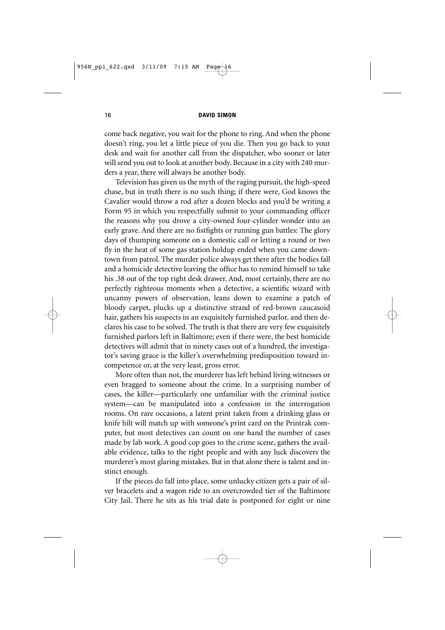come back negative, you wait for the phone to ring. And when the phone doesn't ring, you let a little piece of you die. Then you go back to your desk and wait for another call from the dispatcher, who sooner or later will send you out to look at another body. Because in a city with 240 murders a year, there will always be another body.

Television has given us the myth of the raging pursuit, the high-speed chase, but in truth there is no such thing; if there were, God knows the Cavalier would throw a rod after a dozen blocks and you'd be writing a Form 95 in which you respectfully submit to your commanding officer the reasons why you drove a city-owned four-cylinder wonder into an early grave. And there are no fistfights or running gun battles: The glory days of thumping someone on a domestic call or letting a round or two fly in the heat of some gas station holdup ended when you came downtown from patrol. The murder police always get there after the bodies fall and a homicide detective leaving the office has to remind himself to take his .38 out of the top right desk drawer. And, most certainly, there are no perfectly righteous moments when a detective, a scientific wizard with uncanny powers of observation, leans down to examine a patch of bloody carpet, plucks up a distinctive strand of red-brown caucasoid hair, gathers his suspects in an exquisitely furnished parlor, and then declares his case to be solved. The truth is that there are very few exquisitely furnished parlors left in Baltimore; even if there were, the best homicide detectives will admit that in ninety cases out of a hundred, the investigator's saving grace is the killer's overwhelming predisposition toward incompetence or, at the very least, gross error.

More often than not, the murderer has left behind living witnesses or even bragged to someone about the crime. In a surprising number of cases, the killer—particularly one unfamiliar with the criminal justice system—can be manipulated into a confession in the interrogation rooms. On rare occasions, a latent print taken from a drinking glass or knife hilt will match up with someone's print card on the Printrak computer, but most detectives can count on one hand the number of cases made by lab work. A good cop goes to the crime scene, gathers the available evidence, talks to the right people and with any luck discovers the murderer's most glaring mistakes. But in that alone there is talent and instinct enough.

If the pieces do fall into place, some unlucky citizen gets a pair of silver bracelets and a wagon ride to an overcrowded tier of the Baltimore City Jail. There he sits as his trial date is postponed for eight or nine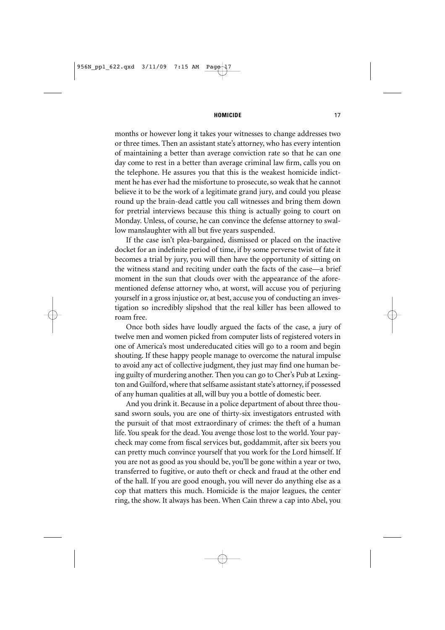months or however long it takes your witnesses to change addresses two or three times. Then an assistant state's attorney, who has every intention of maintaining a better than average conviction rate so that he can one day come to rest in a better than average criminal law firm, calls you on the telephone. He assures you that this is the weakest homicide indictment he has ever had the misfortune to prosecute, so weak that he cannot believe it to be the work of a legitimate grand jury, and could you please round up the brain-dead cattle you call witnesses and bring them down for pretrial interviews because this thing is actually going to court on Monday. Unless, of course, he can convince the defense attorney to swallow manslaughter with all but five years suspended.

If the case isn't plea-bargained, dismissed or placed on the inactive docket for an indefinite period of time, if by some perverse twist of fate it becomes a trial by jury, you will then have the opportunity of sitting on the witness stand and reciting under oath the facts of the case—a brief moment in the sun that clouds over with the appearance of the aforementioned defense attorney who, at worst, will accuse you of perjuring yourself in a gross injustice or, at best, accuse you of conducting an investigation so incredibly slipshod that the real killer has been allowed to roam free.

Once both sides have loudly argued the facts of the case, a jury of twelve men and women picked from computer lists of registered voters in one of America's most undereducated cities will go to a room and begin shouting. If these happy people manage to overcome the natural impulse to avoid any act of collective judgment, they just may find one human being guilty of murdering another. Then you can go to Cher's Pub at Lexington and Guilford, where that selfsame assistant state's attorney, if possessed of any human qualities at all, will buy you a bottle of domestic beer.

And you drink it. Because in a police department of about three thousand sworn souls, you are one of thirty-six investigators entrusted with the pursuit of that most extraordinary of crimes: the theft of a human life. You speak for the dead. You avenge those lost to the world. Your paycheck may come from fiscal services but, goddammit, after six beers you can pretty much convince yourself that you work for the Lord himself. If you are not as good as you should be, you'll be gone within a year or two, transferred to fugitive, or auto theft or check and fraud at the other end of the hall. If you are good enough, you will never do anything else as a cop that matters this much. Homicide is the major leagues, the center ring, the show. It always has been. When Cain threw a cap into Abel, you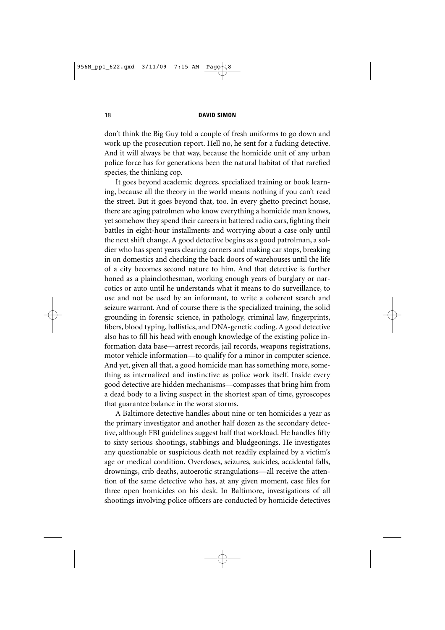don't think the Big Guy told a couple of fresh uniforms to go down and work up the prosecution report. Hell no, he sent for a fucking detective. And it will always be that way, because the homicide unit of any urban police force has for generations been the natural habitat of that rarefied species, the thinking cop.

It goes beyond academic degrees, specialized training or book learning, because all the theory in the world means nothing if you can't read the street. But it goes beyond that, too. In every ghetto precinct house, there are aging patrolmen who know everything a homicide man knows, yet somehow they spend their careers in battered radio cars, fighting their battles in eight-hour installments and worrying about a case only until the next shift change. A good detective begins as a good patrolman, a soldier who has spent years clearing corners and making car stops, breaking in on domestics and checking the back doors of warehouses until the life of a city becomes second nature to him. And that detective is further honed as a plainclothesman, working enough years of burglary or narcotics or auto until he understands what it means to do surveillance, to use and not be used by an informant, to write a coherent search and seizure warrant. And of course there is the specialized training, the solid grounding in forensic science, in pathology, criminal law, fingerprints, fibers, blood typing, ballistics, and DNA-genetic coding. A good detective also has to fill his head with enough knowledge of the existing police information data base—arrest records, jail records, weapons registrations, motor vehicle information—to qualify for a minor in computer science. And yet, given all that, a good homicide man has something more, something as internalized and instinctive as police work itself. Inside every good detective are hidden mechanisms—compasses that bring him from a dead body to a living suspect in the shortest span of time, gyroscopes that guarantee balance in the worst storms.

A Baltimore detective handles about nine or ten homicides a year as the primary investigator and another half dozen as the secondary detective, although FBI guidelines suggest half that workload. He handles fifty to sixty serious shootings, stabbings and bludgeonings. He investigates any questionable or suspicious death not readily explained by a victim's age or medical condition. Overdoses, seizures, suicides, accidental falls, drownings, crib deaths, autoerotic strangulations—all receive the attention of the same detective who has, at any given moment, case files for three open homicides on his desk. In Baltimore, investigations of all shootings involving police officers are conducted by homicide detectives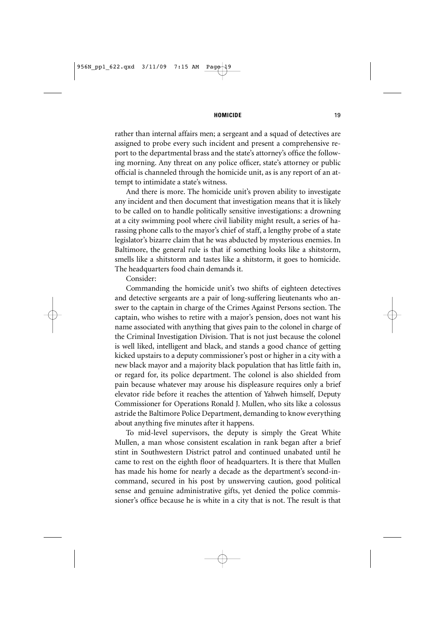rather than internal affairs men; a sergeant and a squad of detectives are assigned to probe every such incident and present a comprehensive report to the departmental brass and the state's attorney's office the following morning. Any threat on any police officer, state's attorney or public official is channeled through the homicide unit, as is any report of an attempt to intimidate a state's witness.

And there is more. The homicide unit's proven ability to investigate any incident and then document that investigation means that it is likely to be called on to handle politically sensitive investigations: a drowning at a city swimming pool where civil liability might result, a series of harassing phone calls to the mayor's chief of staff, a lengthy probe of a state legislator's bizarre claim that he was abducted by mysterious enemies. In Baltimore, the general rule is that if something looks like a shitstorm, smells like a shitstorm and tastes like a shitstorm, it goes to homicide. The headquarters food chain demands it.

Consider:

Commanding the homicide unit's two shifts of eighteen detectives and detective sergeants are a pair of long-suffering lieutenants who answer to the captain in charge of the Crimes Against Persons section. The captain, who wishes to retire with a major's pension, does not want his name associated with anything that gives pain to the colonel in charge of the Criminal Investigation Division. That is not just because the colonel is well liked, intelligent and black, and stands a good chance of getting kicked upstairs to a deputy commissioner's post or higher in a city with a new black mayor and a majority black population that has little faith in, or regard for, its police department. The colonel is also shielded from pain because whatever may arouse his displeasure requires only a brief elevator ride before it reaches the attention of Yahweh himself, Deputy Commissioner for Operations Ronald J. Mullen, who sits like a colossus astride the Baltimore Police Department, demanding to know everything about anything five minutes after it happens.

To mid-level supervisors, the deputy is simply the Great White Mullen, a man whose consistent escalation in rank began after a brief stint in Southwestern District patrol and continued unabated until he came to rest on the eighth floor of headquarters. It is there that Mullen has made his home for nearly a decade as the department's second-incommand, secured in his post by unswerving caution, good political sense and genuine administrative gifts, yet denied the police commissioner's office because he is white in a city that is not. The result is that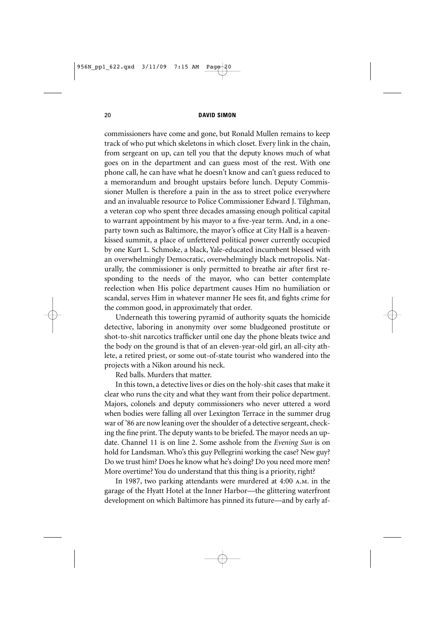commissioners have come and gone, but Ronald Mullen remains to keep track of who put which skeletons in which closet. Every link in the chain, from sergeant on up, can tell you that the deputy knows much of what goes on in the department and can guess most of the rest. With one phone call, he can have what he doesn't know and can't guess reduced to a memorandum and brought upstairs before lunch. Deputy Commissioner Mullen is therefore a pain in the ass to street police everywhere and an invaluable resource to Police Commissioner Edward J. Tilghman, a veteran cop who spent three decades amassing enough political capital to warrant appointment by his mayor to a five-year term. And, in a oneparty town such as Baltimore, the mayor's office at City Hall is a heavenkissed summit, a place of unfettered political power currently occupied by one Kurt L. Schmoke, a black, Yale-educated incumbent blessed with an overwhelmingly Democratic, overwhelmingly black metropolis. Naturally, the commissioner is only permitted to breathe air after first responding to the needs of the mayor, who can better contemplate reelection when His police department causes Him no humiliation or scandal, serves Him in whatever manner He sees fit, and fights crime for the common good, in approximately that order.

Underneath this towering pyramid of authority squats the homicide detective, laboring in anonymity over some bludgeoned prostitute or shot-to-shit narcotics trafficker until one day the phone bleats twice and the body on the ground is that of an eleven-year-old girl, an all-city athlete, a retired priest, or some out-of-state tourist who wandered into the projects with a Nikon around his neck.

Red balls. Murders that matter.

In this town, a detective lives or dies on the holy-shit cases that make it clear who runs the city and what they want from their police department. Majors, colonels and deputy commissioners who never uttered a word when bodies were falling all over Lexington Terrace in the summer drug war of '86 are now leaning over the shoulder of a detective sergeant, checking the fine print. The deputy wants to be briefed. The mayor needs an update. Channel 11 is on line 2. Some asshole from the *Evening Sun* is on hold for Landsman. Who's this guy Pellegrini working the case? New guy? Do we trust him? Does he know what he's doing? Do you need more men? More overtime? You do understand that this thing is a priority, right?

In 1987, two parking attendants were murdered at 4:00 a.m. in the garage of the Hyatt Hotel at the Inner Harbor—the glittering waterfront development on which Baltimore has pinned its future—and by early af-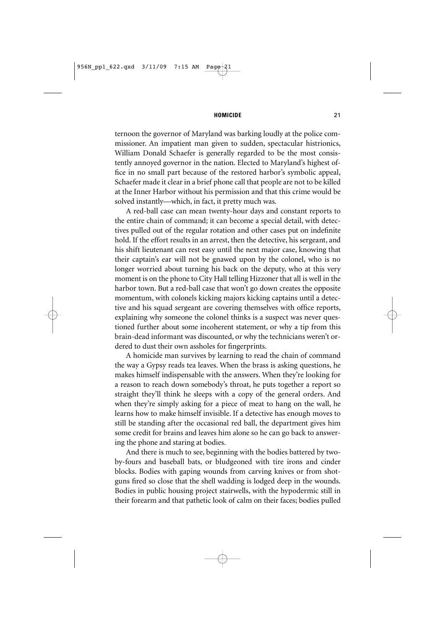ternoon the governor of Maryland was barking loudly at the police commissioner. An impatient man given to sudden, spectacular histrionics, William Donald Schaefer is generally regarded to be the most consistently annoyed governor in the nation. Elected to Maryland's highest office in no small part because of the restored harbor's symbolic appeal, Schaefer made it clear in a brief phone call that people are not to be killed at the Inner Harbor without his permission and that this crime would be solved instantly—which, in fact, it pretty much was.

A red-ball case can mean twenty-hour days and constant reports to the entire chain of command; it can become a special detail, with detectives pulled out of the regular rotation and other cases put on indefinite hold. If the effort results in an arrest, then the detective, his sergeant, and his shift lieutenant can rest easy until the next major case, knowing that their captain's ear will not be gnawed upon by the colonel, who is no longer worried about turning his back on the deputy, who at this very moment is on the phone to City Hall telling Hizzoner that all is well in the harbor town. But a red-ball case that won't go down creates the opposite momentum, with colonels kicking majors kicking captains until a detective and his squad sergeant are covering themselves with office reports, explaining why someone the colonel thinks is a suspect was never questioned further about some incoherent statement, or why a tip from this brain-dead informant was discounted, or why the technicians weren't ordered to dust their own assholes for fingerprints.

A homicide man survives by learning to read the chain of command the way a Gypsy reads tea leaves. When the brass is asking questions, he makes himself indispensable with the answers. When they're looking for a reason to reach down somebody's throat, he puts together a report so straight they'll think he sleeps with a copy of the general orders. And when they're simply asking for a piece of meat to hang on the wall, he learns how to make himself invisible. If a detective has enough moves to still be standing after the occasional red ball, the department gives him some credit for brains and leaves him alone so he can go back to answering the phone and staring at bodies.

And there is much to see, beginning with the bodies battered by twoby-fours and baseball bats, or bludgeoned with tire irons and cinder blocks. Bodies with gaping wounds from carving knives or from shotguns fired so close that the shell wadding is lodged deep in the wounds. Bodies in public housing project stairwells, with the hypodermic still in their forearm and that pathetic look of calm on their faces; bodies pulled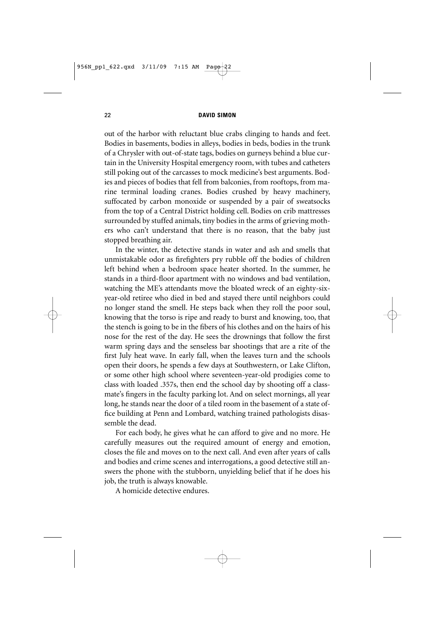out of the harbor with reluctant blue crabs clinging to hands and feet. Bodies in basements, bodies in alleys, bodies in beds, bodies in the trunk of a Chrysler with out-of-state tags, bodies on gurneys behind a blue curtain in the University Hospital emergency room, with tubes and catheters still poking out of the carcasses to mock medicine's best arguments. Bodies and pieces of bodies that fell from balconies, from rooftops, from marine terminal loading cranes. Bodies crushed by heavy machinery, suffocated by carbon monoxide or suspended by a pair of sweatsocks from the top of a Central District holding cell. Bodies on crib mattresses surrounded by stuffed animals, tiny bodies in the arms of grieving mothers who can't understand that there is no reason, that the baby just stopped breathing air.

In the winter, the detective stands in water and ash and smells that unmistakable odor as firefighters pry rubble off the bodies of children left behind when a bedroom space heater shorted. In the summer, he stands in a third-floor apartment with no windows and bad ventilation, watching the ME's attendants move the bloated wreck of an eighty-sixyear-old retiree who died in bed and stayed there until neighbors could no longer stand the smell. He steps back when they roll the poor soul, knowing that the torso is ripe and ready to burst and knowing, too, that the stench is going to be in the fibers of his clothes and on the hairs of his nose for the rest of the day. He sees the drownings that follow the first warm spring days and the senseless bar shootings that are a rite of the first July heat wave. In early fall, when the leaves turn and the schools open their doors, he spends a few days at Southwestern, or Lake Clifton, or some other high school where seventeen-year-old prodigies come to class with loaded .357s, then end the school day by shooting off a classmate's fingers in the faculty parking lot. And on select mornings, all year long, he stands near the door of a tiled room in the basement of a state office building at Penn and Lombard, watching trained pathologists disassemble the dead.

For each body, he gives what he can afford to give and no more. He carefully measures out the required amount of energy and emotion, closes the file and moves on to the next call. And even after years of calls and bodies and crime scenes and interrogations, a good detective still answers the phone with the stubborn, unyielding belief that if he does his job, the truth is always knowable.

A homicide detective endures.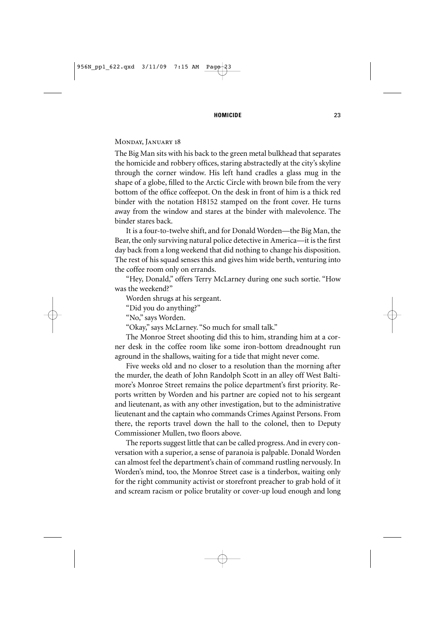# Monday, January 18

The Big Man sits with his back to the green metal bulkhead that separates the homicide and robbery offices, staring abstractedly at the city's skyline through the corner window. His left hand cradles a glass mug in the shape of a globe, filled to the Arctic Circle with brown bile from the very bottom of the office coffeepot. On the desk in front of him is a thick red binder with the notation H8152 stamped on the front cover. He turns away from the window and stares at the binder with malevolence. The binder stares back.

It is a four-to-twelve shift, and for Donald Worden—the Big Man, the Bear, the only surviving natural police detective in America—it is the first day back from a long weekend that did nothing to change his disposition. The rest of his squad senses this and gives him wide berth, venturing into the coffee room only on errands.

"Hey, Donald," offers Terry McLarney during one such sortie. "How was the weekend?"

Worden shrugs at his sergeant.

"Did you do anything?"

"No," says Worden.

"Okay," says McLarney. "So much for small talk."

The Monroe Street shooting did this to him, stranding him at a corner desk in the coffee room like some iron-bottom dreadnought run aground in the shallows, waiting for a tide that might never come.

Five weeks old and no closer to a resolution than the morning after the murder, the death of John Randolph Scott in an alley off West Baltimore's Monroe Street remains the police department's first priority. Reports written by Worden and his partner are copied not to his sergeant and lieutenant, as with any other investigation, but to the administrative lieutenant and the captain who commands Crimes Against Persons. From there, the reports travel down the hall to the colonel, then to Deputy Commissioner Mullen, two floors above.

The reports suggest little that can be called progress. And in every conversation with a superior, a sense of paranoia is palpable. Donald Worden can almost feel the department's chain of command rustling nervously. In Worden's mind, too, the Monroe Street case is a tinderbox, waiting only for the right community activist or storefront preacher to grab hold of it and scream racism or police brutality or cover-up loud enough and long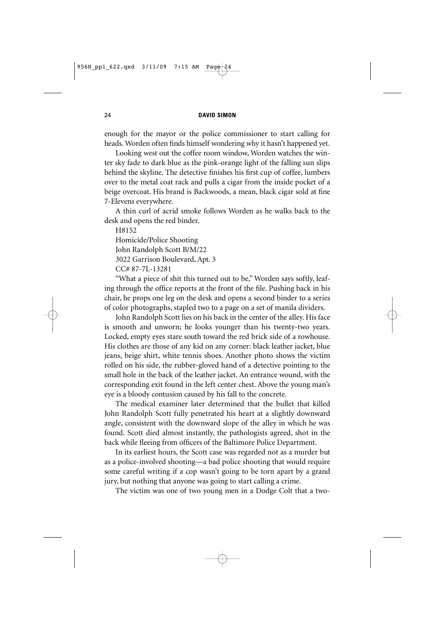enough for the mayor or the police commissioner to start calling for heads. Worden often finds himself wondering why it hasn't happened yet.

Looking west out the coffee room window, Worden watches the winter sky fade to dark blue as the pink-orange light of the falling sun slips behind the skyline. The detective finishes his first cup of coffee, lumbers over to the metal coat rack and pulls a cigar from the inside pocket of a beige overcoat. His brand is Backwoods, a mean, black cigar sold at fine 7-Elevens everywhere.

A thin curl of acrid smoke follows Worden as he walks back to the desk and opens the red binder.

H8152 Homicide/Police Shooting John Randolph Scott B/M/22 3022 Garrison Boulevard, Apt. 3 CC# 87-7L-13281

"What a piece of shit this turned out to be," Worden says softly, leafing through the office reports at the front of the file. Pushing back in his chair, he props one leg on the desk and opens a second binder to a series of color photographs, stapled two to a page on a set of manila dividers.

John Randolph Scott lies on his back in the center of the alley. His face is smooth and unworn; he looks younger than his twenty-two years. Locked, empty eyes stare south toward the red brick side of a rowhouse. His clothes are those of any kid on any corner: black leather jacket, blue jeans, beige shirt, white tennis shoes. Another photo shows the victim rolled on his side, the rubber-gloved hand of a detective pointing to the small hole in the back of the leather jacket. An entrance wound, with the corresponding exit found in the left center chest. Above the young man's eye is a bloody contusion caused by his fall to the concrete.

The medical examiner later determined that the bullet that killed John Randolph Scott fully penetrated his heart at a slightly downward angle, consistent with the downward slope of the alley in which he was found. Scott died almost instantly, the pathologists agreed, shot in the back while fleeing from officers of the Baltimore Police Department.

In its earliest hours, the Scott case was regarded not as a murder but as a police-involved shooting—a bad police shooting that would require some careful writing if a cop wasn't going to be torn apart by a grand jury, but nothing that anyone was going to start calling a crime.

The victim was one of two young men in a Dodge Colt that a two-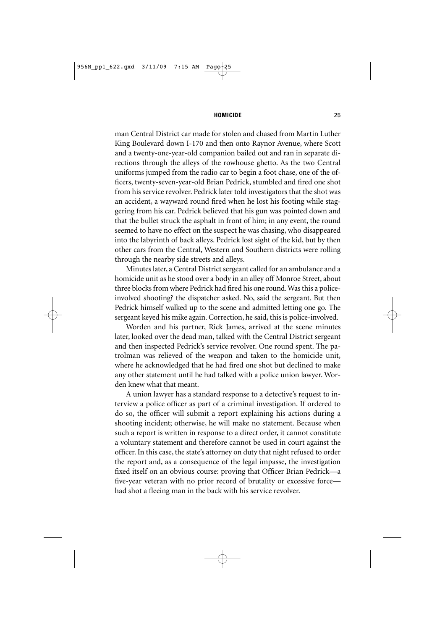man Central District car made for stolen and chased from Martin Luther King Boulevard down I-170 and then onto Raynor Avenue, where Scott and a twenty-one-year-old companion bailed out and ran in separate directions through the alleys of the rowhouse ghetto. As the two Central uniforms jumped from the radio car to begin a foot chase, one of the officers, twenty-seven-year-old Brian Pedrick, stumbled and fired one shot from his service revolver. Pedrick later told investigators that the shot was an accident, a wayward round fired when he lost his footing while staggering from his car. Pedrick believed that his gun was pointed down and that the bullet struck the asphalt in front of him; in any event, the round seemed to have no effect on the suspect he was chasing, who disappeared into the labyrinth of back alleys. Pedrick lost sight of the kid, but by then other cars from the Central, Western and Southern districts were rolling through the nearby side streets and alleys.

Minutes later, a Central District sergeant called for an ambulance and a homicide unit as he stood over a body in an alley off Monroe Street, about three blocks from where Pedrick had fired his one round. Was this a policeinvolved shooting? the dispatcher asked. No, said the sergeant. But then Pedrick himself walked up to the scene and admitted letting one go. The sergeant keyed his mike again. Correction, he said, this is police-involved.

Worden and his partner, Rick James, arrived at the scene minutes later, looked over the dead man, talked with the Central District sergeant and then inspected Pedrick's service revolver. One round spent. The patrolman was relieved of the weapon and taken to the homicide unit, where he acknowledged that he had fired one shot but declined to make any other statement until he had talked with a police union lawyer. Worden knew what that meant.

A union lawyer has a standard response to a detective's request to interview a police officer as part of a criminal investigation. If ordered to do so, the officer will submit a report explaining his actions during a shooting incident; otherwise, he will make no statement. Because when such a report is written in response to a direct order, it cannot constitute a voluntary statement and therefore cannot be used in court against the officer. In this case, the state's attorney on duty that night refused to order the report and, as a consequence of the legal impasse, the investigation fixed itself on an obvious course: proving that Officer Brian Pedrick—a five-year veteran with no prior record of brutality or excessive force had shot a fleeing man in the back with his service revolver.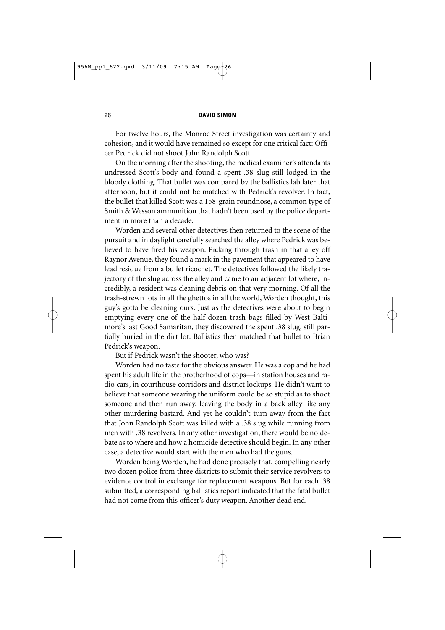For twelve hours, the Monroe Street investigation was certainty and cohesion, and it would have remained so except for one critical fact: Officer Pedrick did not shoot John Randolph Scott.

On the morning after the shooting, the medical examiner's attendants undressed Scott's body and found a spent .38 slug still lodged in the bloody clothing. That bullet was compared by the ballistics lab later that afternoon, but it could not be matched with Pedrick's revolver. In fact, the bullet that killed Scott was a 158-grain roundnose, a common type of Smith & Wesson ammunition that hadn't been used by the police department in more than a decade.

Worden and several other detectives then returned to the scene of the pursuit and in daylight carefully searched the alley where Pedrick was believed to have fired his weapon. Picking through trash in that alley off Raynor Avenue, they found a mark in the pavement that appeared to have lead residue from a bullet ricochet. The detectives followed the likely trajectory of the slug across the alley and came to an adjacent lot where, incredibly, a resident was cleaning debris on that very morning. Of all the trash-strewn lots in all the ghettos in all the world, Worden thought, this guy's gotta be cleaning ours. Just as the detectives were about to begin emptying every one of the half-dozen trash bags filled by West Baltimore's last Good Samaritan, they discovered the spent .38 slug, still partially buried in the dirt lot. Ballistics then matched that bullet to Brian Pedrick's weapon.

But if Pedrick wasn't the shooter, who was?

Worden had no taste for the obvious answer. He was a cop and he had spent his adult life in the brotherhood of cops—in station houses and radio cars, in courthouse corridors and district lockups. He didn't want to believe that someone wearing the uniform could be so stupid as to shoot someone and then run away, leaving the body in a back alley like any other murdering bastard. And yet he couldn't turn away from the fact that John Randolph Scott was killed with a .38 slug while running from men with .38 revolvers. In any other investigation, there would be no debate as to where and how a homicide detective should begin. In any other case, a detective would start with the men who had the guns.

Worden being Worden, he had done precisely that, compelling nearly two dozen police from three districts to submit their service revolvers to evidence control in exchange for replacement weapons. But for each .38 submitted, a corresponding ballistics report indicated that the fatal bullet had not come from this officer's duty weapon. Another dead end.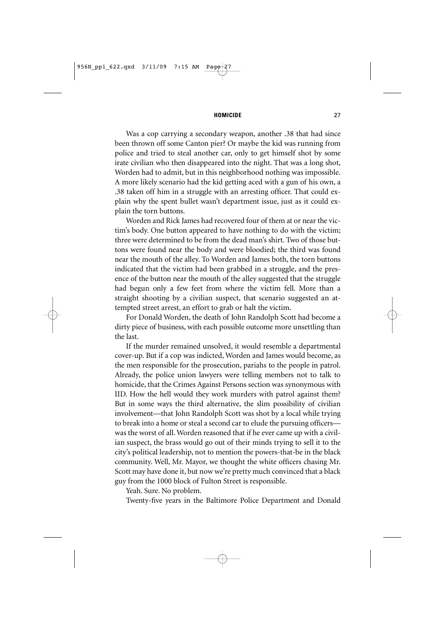Was a cop carrying a secondary weapon, another .38 that had since been thrown off some Canton pier? Or maybe the kid was running from police and tried to steal another car, only to get himself shot by some irate civilian who then disappeared into the night. That was a long shot, Worden had to admit, but in this neighborhood nothing was impossible. A more likely scenario had the kid getting aced with a gun of his own, a .38 taken off him in a struggle with an arresting officer. That could explain why the spent bullet wasn't department issue, just as it could explain the torn buttons.

Worden and Rick James had recovered four of them at or near the victim's body. One button appeared to have nothing to do with the victim; three were determined to be from the dead man's shirt. Two of those buttons were found near the body and were bloodied; the third was found near the mouth of the alley. To Worden and James both, the torn buttons indicated that the victim had been grabbed in a struggle, and the presence of the button near the mouth of the alley suggested that the struggle had begun only a few feet from where the victim fell. More than a straight shooting by a civilian suspect, that scenario suggested an attempted street arrest, an effort to grab or halt the victim.

For Donald Worden, the death of John Randolph Scott had become a dirty piece of business, with each possible outcome more unsettling than the last.

If the murder remained unsolved, it would resemble a departmental cover-up. But if a cop was indicted, Worden and James would become, as the men responsible for the prosecution, pariahs to the people in patrol. Already, the police union lawyers were telling members not to talk to homicide, that the Crimes Against Persons section was synonymous with IID. How the hell would they work murders with patrol against them? But in some ways the third alternative, the slim possibility of civilian involvement—that John Randolph Scott was shot by a local while trying to break into a home or steal a second car to elude the pursuing officers was the worst of all. Worden reasoned that if he ever came up with a civilian suspect, the brass would go out of their minds trying to sell it to the city's political leadership, not to mention the powers-that-be in the black community. Well, Mr. Mayor, we thought the white officers chasing Mr. Scott may have done it, but now we're pretty much convinced that a black guy from the 1000 block of Fulton Street is responsible.

Yeah. Sure. No problem.

Twenty-five years in the Baltimore Police Department and Donald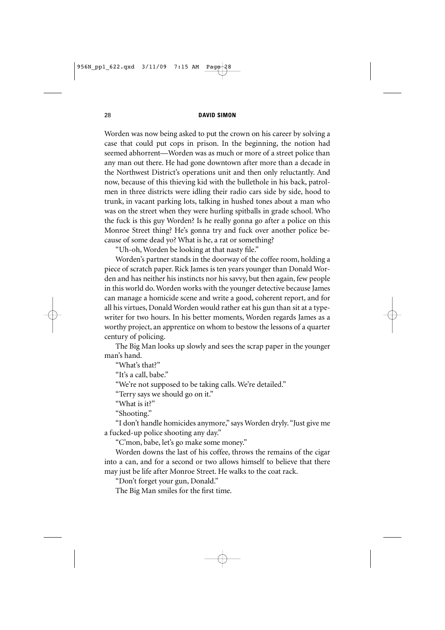Worden was now being asked to put the crown on his career by solving a case that could put cops in prison. In the beginning, the notion had seemed abhorrent—Worden was as much or more of a street police than any man out there. He had gone downtown after more than a decade in the Northwest District's operations unit and then only reluctantly. And now, because of this thieving kid with the bullethole in his back, patrolmen in three districts were idling their radio cars side by side, hood to trunk, in vacant parking lots, talking in hushed tones about a man who was on the street when they were hurling spitballs in grade school. Who the fuck is this guy Worden? Is he really gonna go after a police on this Monroe Street thing? He's gonna try and fuck over another police because of some dead yo? What is he, a rat or something?

"Uh-oh, Worden be looking at that nasty file."

Worden's partner stands in the doorway of the coffee room, holding a piece of scratch paper. Rick James is ten years younger than Donald Worden and has neither his instincts nor his savvy, but then again, few people in this world do. Worden works with the younger detective because James can manage a homicide scene and write a good, coherent report, and for all his virtues, Donald Worden would rather eat his gun than sit at a typewriter for two hours. In his better moments, Worden regards James as a worthy project, an apprentice on whom to bestow the lessons of a quarter century of policing.

The Big Man looks up slowly and sees the scrap paper in the younger man's hand.

"What's that?"

"It's a call, babe."

"We're not supposed to be taking calls. We're detailed."

"Terry says we should go on it."

"What is it?"

"Shooting."

"I don't handle homicides anymore," says Worden dryly."Just give me a fucked-up police shooting any day."

"C'mon, babe, let's go make some money."

Worden downs the last of his coffee, throws the remains of the cigar into a can, and for a second or two allows himself to believe that there may just be life after Monroe Street. He walks to the coat rack.

"Don't forget your gun, Donald."

The Big Man smiles for the first time.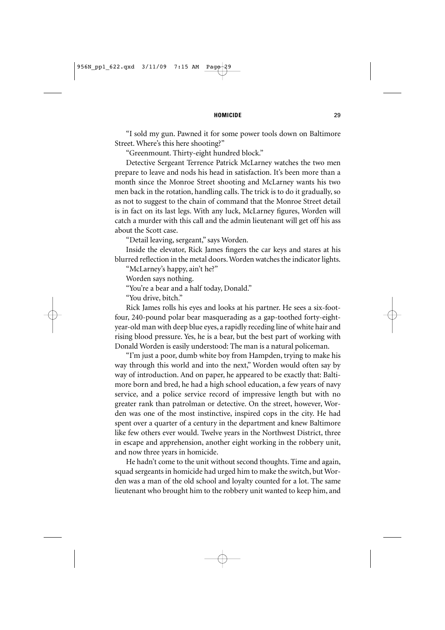"I sold my gun. Pawned it for some power tools down on Baltimore Street. Where's this here shooting?"

"Greenmount. Thirty-eight hundred block."

Detective Sergeant Terrence Patrick McLarney watches the two men prepare to leave and nods his head in satisfaction. It's been more than a month since the Monroe Street shooting and McLarney wants his two men back in the rotation, handling calls. The trick is to do it gradually, so as not to suggest to the chain of command that the Monroe Street detail is in fact on its last legs. With any luck, McLarney figures, Worden will catch a murder with this call and the admin lieutenant will get off his ass about the Scott case.

"Detail leaving, sergeant," says Worden.

Inside the elevator, Rick James fingers the car keys and stares at his blurred reflection in the metal doors. Worden watches the indicator lights.

"McLarney's happy, ain't he?"

Worden says nothing.

"You're a bear and a half today, Donald."

"You drive, bitch."

Rick James rolls his eyes and looks at his partner. He sees a six-footfour, 240-pound polar bear masquerading as a gap-toothed forty-eightyear-old man with deep blue eyes, a rapidly receding line of white hair and rising blood pressure. Yes, he is a bear, but the best part of working with Donald Worden is easily understood: The man is a natural policeman.

"I'm just a poor, dumb white boy from Hampden, trying to make his way through this world and into the next," Worden would often say by way of introduction. And on paper, he appeared to be exactly that: Baltimore born and bred, he had a high school education, a few years of navy service, and a police service record of impressive length but with no greater rank than patrolman or detective. On the street, however, Worden was one of the most instinctive, inspired cops in the city. He had spent over a quarter of a century in the department and knew Baltimore like few others ever would. Twelve years in the Northwest District, three in escape and apprehension, another eight working in the robbery unit, and now three years in homicide.

He hadn't come to the unit without second thoughts. Time and again, squad sergeants in homicide had urged him to make the switch, but Worden was a man of the old school and loyalty counted for a lot. The same lieutenant who brought him to the robbery unit wanted to keep him, and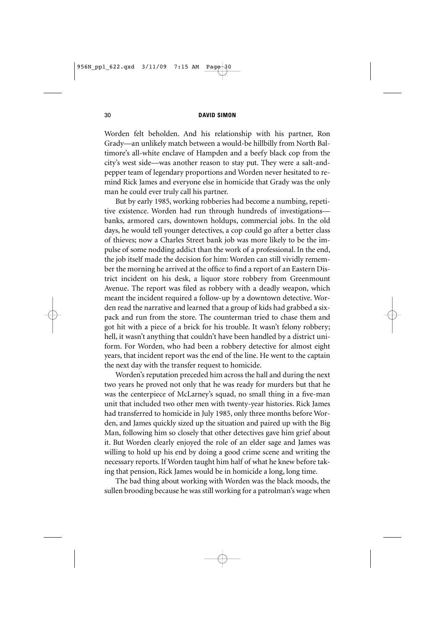Worden felt beholden. And his relationship with his partner, Ron Grady—an unlikely match between a would-be hillbilly from North Baltimore's all-white enclave of Hampden and a beefy black cop from the city's west side—was another reason to stay put. They were a salt-andpepper team of legendary proportions and Worden never hesitated to remind Rick James and everyone else in homicide that Grady was the only man he could ever truly call his partner.

But by early 1985, working robberies had become a numbing, repetitive existence. Worden had run through hundreds of investigations banks, armored cars, downtown holdups, commercial jobs. In the old days, he would tell younger detectives, a cop could go after a better class of thieves; now a Charles Street bank job was more likely to be the impulse of some nodding addict than the work of a professional. In the end, the job itself made the decision for him: Worden can still vividly remember the morning he arrived at the office to find a report of an Eastern District incident on his desk, a liquor store robbery from Greenmount Avenue. The report was filed as robbery with a deadly weapon, which meant the incident required a follow-up by a downtown detective. Worden read the narrative and learned that a group of kids had grabbed a sixpack and run from the store. The counterman tried to chase them and got hit with a piece of a brick for his trouble. It wasn't felony robbery; hell, it wasn't anything that couldn't have been handled by a district uniform. For Worden, who had been a robbery detective for almost eight years, that incident report was the end of the line. He went to the captain the next day with the transfer request to homicide.

Worden's reputation preceded him across the hall and during the next two years he proved not only that he was ready for murders but that he was the centerpiece of McLarney's squad, no small thing in a five-man unit that included two other men with twenty-year histories. Rick James had transferred to homicide in July 1985, only three months before Worden, and James quickly sized up the situation and paired up with the Big Man, following him so closely that other detectives gave him grief about it. But Worden clearly enjoyed the role of an elder sage and James was willing to hold up his end by doing a good crime scene and writing the necessary reports. If Worden taught him half of what he knew before taking that pension, Rick James would be in homicide a long, long time.

The bad thing about working with Worden was the black moods, the sullen brooding because he was still working for a patrolman's wage when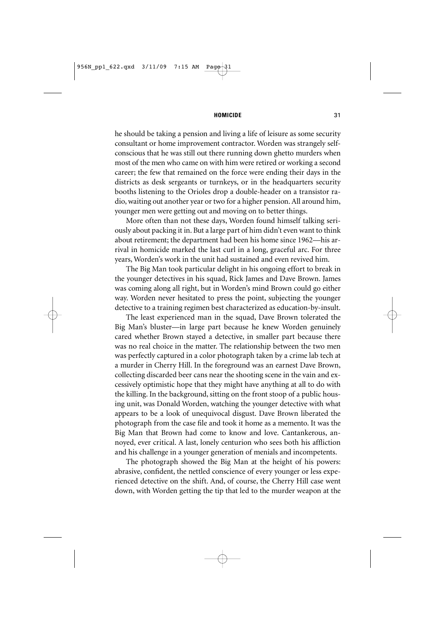he should be taking a pension and living a life of leisure as some security consultant or home improvement contractor. Worden was strangely selfconscious that he was still out there running down ghetto murders when most of the men who came on with him were retired or working a second career; the few that remained on the force were ending their days in the districts as desk sergeants or turnkeys, or in the headquarters security booths listening to the Orioles drop a double-header on a transistor radio, waiting out another year or two for a higher pension. All around him, younger men were getting out and moving on to better things.

More often than not these days, Worden found himself talking seriously about packing it in. But a large part of him didn't even want to think about retirement; the department had been his home since 1962—his arrival in homicide marked the last curl in a long, graceful arc. For three years, Worden's work in the unit had sustained and even revived him.

The Big Man took particular delight in his ongoing effort to break in the younger detectives in his squad, Rick James and Dave Brown. James was coming along all right, but in Worden's mind Brown could go either way. Worden never hesitated to press the point, subjecting the younger detective to a training regimen best characterized as education-by-insult.

The least experienced man in the squad, Dave Brown tolerated the Big Man's bluster—in large part because he knew Worden genuinely cared whether Brown stayed a detective, in smaller part because there was no real choice in the matter. The relationship between the two men was perfectly captured in a color photograph taken by a crime lab tech at a murder in Cherry Hill. In the foreground was an earnest Dave Brown, collecting discarded beer cans near the shooting scene in the vain and excessively optimistic hope that they might have anything at all to do with the killing. In the background, sitting on the front stoop of a public housing unit, was Donald Worden, watching the younger detective with what appears to be a look of unequivocal disgust. Dave Brown liberated the photograph from the case file and took it home as a memento. It was the Big Man that Brown had come to know and love. Cantankerous, annoyed, ever critical. A last, lonely centurion who sees both his affliction and his challenge in a younger generation of menials and incompetents.

The photograph showed the Big Man at the height of his powers: abrasive, confident, the nettled conscience of every younger or less experienced detective on the shift. And, of course, the Cherry Hill case went down, with Worden getting the tip that led to the murder weapon at the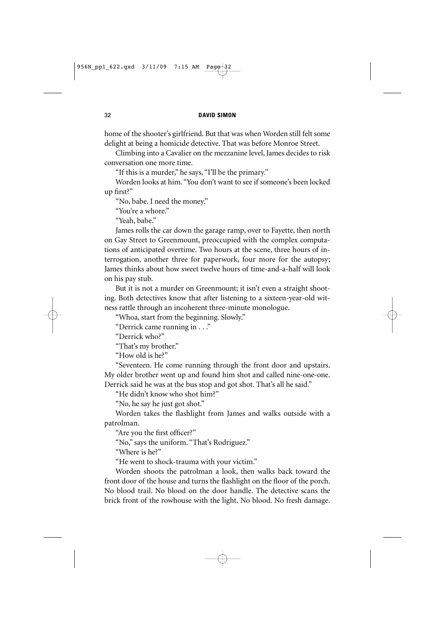home of the shooter's girlfriend. But that was when Worden still felt some delight at being a homicide detective. That was before Monroe Street.

Climbing into a Cavalier on the mezzanine level, James decides to risk conversation one more time.

"If this is a murder," he says, "I'll be the primary."

Worden looks at him. "You don't want to see if someone's been locked up first?"

"No, babe. I need the money."

"You're a whore"

"Yeah, babe."

James rolls the car down the garage ramp, over to Fayette, then north on Gay Street to Greenmount, preoccupied with the complex computations of anticipated overtime. Two hours at the scene, three hours of interrogation, another three for paperwork, four more for the autopsy; James thinks about how sweet twelve hours of time-and-a-half will look on his pay stub.

But it is not a murder on Greenmount; it isn't even a straight shooting. Both detectives know that after listening to a sixteen-year-old witness rattle through an incoherent three-minute monologue.

"Whoa, start from the beginning. Slowly."

"Derrick came running in . . ."

"Derrick who?"

"That's my brother."

"How old is he?"

"Seventeen. He come running through the front door and upstairs. My older brother went up and found him shot and called nine-one-one. Derrick said he was at the bus stop and got shot. That's all he said."

"He didn't know who shot him?"

"No, he say he just got shot."

Worden takes the flashlight from James and walks outside with a patrolman.

"Are you the first officer?"

"No," says the uniform. "That's Rodriguez."

"Where is he?"

"He went to shock-trauma with your victim."

Worden shoots the patrolman a look, then walks back toward the front door of the house and turns the flashlight on the floor of the porch. No blood trail. No blood on the door handle. The detective scans the brick front of the rowhouse with the light. No blood. No fresh damage.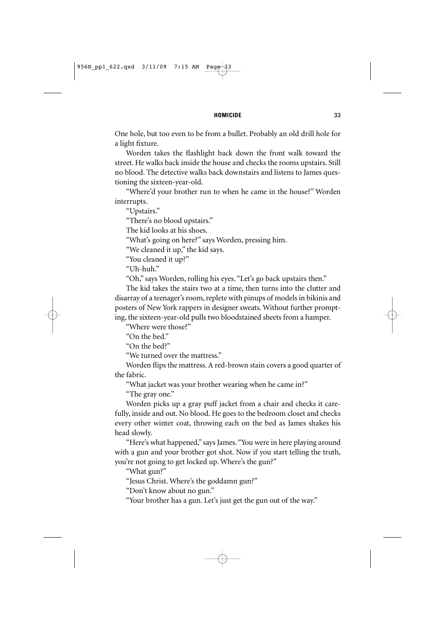One hole, but too even to be from a bullet. Probably an old drill hole for a light fixture.

Worden takes the flashlight back down the front walk toward the street. He walks back inside the house and checks the rooms upstairs. Still no blood. The detective walks back downstairs and listens to James questioning the sixteen-year-old.

"Where'd your brother run to when he came in the house?" Worden interrupts.

"Upstairs."

"There's no blood upstairs."

The kid looks at his shoes.

"What's going on here?" says Worden, pressing him.

"We cleaned it up," the kid says.

"You cleaned it up?"

"Uh-huh."

"Oh," says Worden, rolling his eyes. "Let's go back upstairs then."

The kid takes the stairs two at a time, then turns into the clutter and disarray of a teenager's room, replete with pinups of models in bikinis and posters of New York rappers in designer sweats. Without further prompting, the sixteen-year-old pulls two bloodstained sheets from a hamper.

"Where were those?"

"On the bed"

"On the bed?"

"We turned over the mattress."

Worden flips the mattress. A red-brown stain covers a good quarter of the fabric.

"What jacket was your brother wearing when he came in?"

"The gray one."

Worden picks up a gray puff jacket from a chair and checks it carefully, inside and out. No blood. He goes to the bedroom closet and checks every other winter coat, throwing each on the bed as James shakes his head slowly.

"Here's what happened," says James."You were in here playing around with a gun and your brother got shot. Now if you start telling the truth, you're not going to get locked up. Where's the gun?"

"What gun?"

"Jesus Christ. Where's the goddamn gun?"

"Don't know about no gun."

"Your brother has a gun. Let's just get the gun out of the way."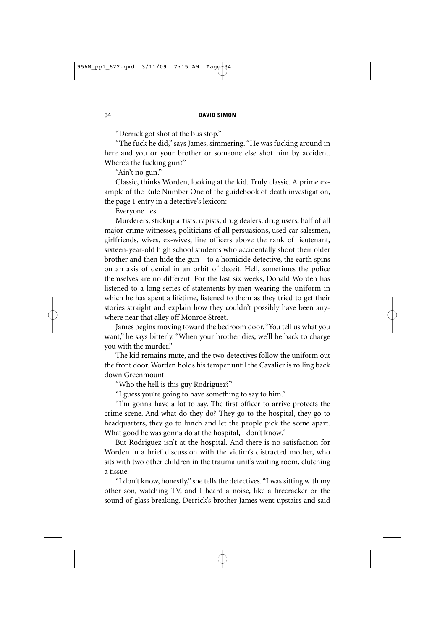"Derrick got shot at the bus stop."

"The fuck he did," says James, simmering. "He was fucking around in here and you or your brother or someone else shot him by accident. Where's the fucking gun?"

"Ain't no gun."

Classic, thinks Worden, looking at the kid. Truly classic. A prime example of the Rule Number One of the guidebook of death investigation, the page 1 entry in a detective's lexicon:

Everyone lies.

Murderers, stickup artists, rapists, drug dealers, drug users, half of all major-crime witnesses, politicians of all persuasions, used car salesmen, girlfriends, wives, ex-wives, line officers above the rank of lieutenant, sixteen-year-old high school students who accidentally shoot their older brother and then hide the gun—to a homicide detective, the earth spins on an axis of denial in an orbit of deceit. Hell, sometimes the police themselves are no different. For the last six weeks, Donald Worden has listened to a long series of statements by men wearing the uniform in which he has spent a lifetime, listened to them as they tried to get their stories straight and explain how they couldn't possibly have been anywhere near that alley off Monroe Street.

James begins moving toward the bedroom door."You tell us what you want," he says bitterly. "When your brother dies, we'll be back to charge you with the murder."

The kid remains mute, and the two detectives follow the uniform out the front door. Worden holds his temper until the Cavalier is rolling back down Greenmount.

"Who the hell is this guy Rodriguez?"

"I guess you're going to have something to say to him."

"I'm gonna have a lot to say. The first officer to arrive protects the crime scene. And what do they do? They go to the hospital, they go to headquarters, they go to lunch and let the people pick the scene apart. What good he was gonna do at the hospital, I don't know."

But Rodriguez isn't at the hospital. And there is no satisfaction for Worden in a brief discussion with the victim's distracted mother, who sits with two other children in the trauma unit's waiting room, clutching a tissue.

"I don't know, honestly," she tells the detectives."I was sitting with my other son, watching TV, and I heard a noise, like a firecracker or the sound of glass breaking. Derrick's brother James went upstairs and said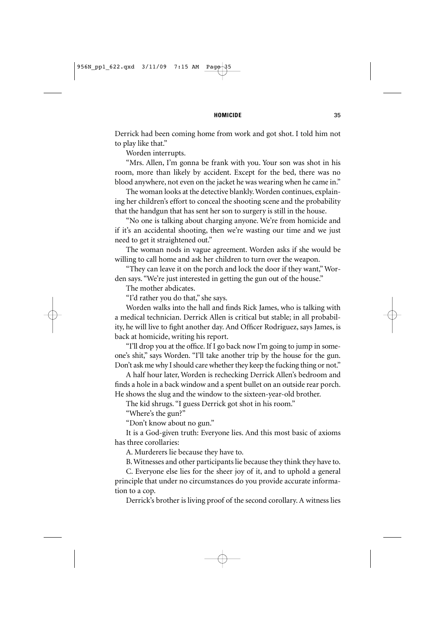Derrick had been coming home from work and got shot. I told him not to play like that."

Worden interrupts.

"Mrs. Allen, I'm gonna be frank with you. Your son was shot in his room, more than likely by accident. Except for the bed, there was no blood anywhere, not even on the jacket he was wearing when he came in."

The woman looks at the detective blankly. Worden continues, explaining her children's effort to conceal the shooting scene and the probability that the handgun that has sent her son to surgery is still in the house.

"No one is talking about charging anyone. We're from homicide and if it's an accidental shooting, then we're wasting our time and we just need to get it straightened out."

The woman nods in vague agreement. Worden asks if she would be willing to call home and ask her children to turn over the weapon.

"They can leave it on the porch and lock the door if they want," Worden says. "We're just interested in getting the gun out of the house."

The mother abdicates.

"I'd rather you do that," she says.

Worden walks into the hall and finds Rick James, who is talking with a medical technician. Derrick Allen is critical but stable; in all probability, he will live to fight another day. And Officer Rodriguez, says James, is back at homicide, writing his report.

"I'll drop you at the office. If I go back now I'm going to jump in someone's shit," says Worden. "I'll take another trip by the house for the gun. Don't ask me why I should care whether they keep the fucking thing or not."

A half hour later, Worden is rechecking Derrick Allen's bedroom and finds a hole in a back window and a spent bullet on an outside rear porch. He shows the slug and the window to the sixteen-year-old brother.

The kid shrugs. "I guess Derrick got shot in his room."

"Where's the gun?"

"Don't know about no gun."

It is a God-given truth: Everyone lies. And this most basic of axioms has three corollaries:

A. Murderers lie because they have to.

B. Witnesses and other participants lie because they think they have to.

C. Everyone else lies for the sheer joy of it, and to uphold a general principle that under no circumstances do you provide accurate information to a cop.

Derrick's brother is living proof of the second corollary. A witness lies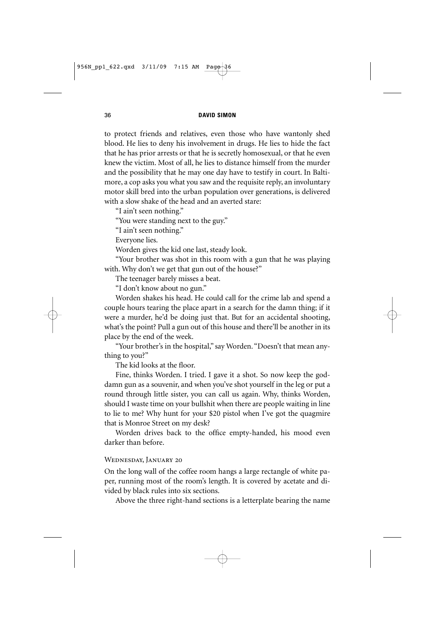to protect friends and relatives, even those who have wantonly shed blood. He lies to deny his involvement in drugs. He lies to hide the fact that he has prior arrests or that he is secretly homosexual, or that he even knew the victim. Most of all, he lies to distance himself from the murder and the possibility that he may one day have to testify in court. In Baltimore, a cop asks you what you saw and the requisite reply, an involuntary motor skill bred into the urban population over generations, is delivered with a slow shake of the head and an averted stare:

"I ain't seen nothing."

"You were standing next to the guy."

"I ain't seen nothing."

Everyone lies.

Worden gives the kid one last, steady look.

"Your brother was shot in this room with a gun that he was playing with. Why don't we get that gun out of the house?"

The teenager barely misses a beat.

"I don't know about no gun."

Worden shakes his head. He could call for the crime lab and spend a couple hours tearing the place apart in a search for the damn thing; if it were a murder, he'd be doing just that. But for an accidental shooting, what's the point? Pull a gun out of this house and there'll be another in its place by the end of the week.

"Your brother's in the hospital," say Worden. "Doesn't that mean anything to you?"

The kid looks at the floor.

Fine, thinks Worden. I tried. I gave it a shot. So now keep the goddamn gun as a souvenir, and when you've shot yourself in the leg or put a round through little sister, you can call us again. Why, thinks Worden, should I waste time on your bullshit when there are people waiting in line to lie to me? Why hunt for your \$20 pistol when I've got the quagmire that is Monroe Street on my desk?

Worden drives back to the office empty-handed, his mood even darker than before.

## Wednesday, January 20

On the long wall of the coffee room hangs a large rectangle of white paper, running most of the room's length. It is covered by acetate and divided by black rules into six sections.

Above the three right-hand sections is a letterplate bearing the name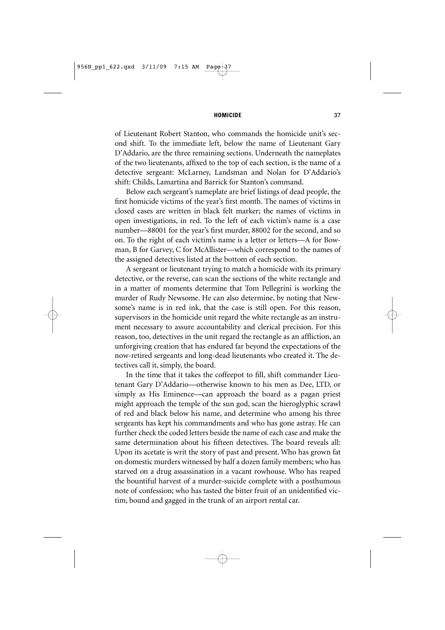of Lieutenant Robert Stanton, who commands the homicide unit's second shift. To the immediate left, below the name of Lieutenant Gary D'Addario, are the three remaining sections. Underneath the nameplates of the two lieutenants, affixed to the top of each section, is the name of a detective sergeant: McLarney, Landsman and Nolan for D'Addario's shift: Childs, Lamartina and Barrick for Stanton's command.

Below each sergeant's nameplate are brief listings of dead people, the first homicide victims of the year's first month. The names of victims in closed cases are written in black felt marker; the names of victims in open investigations, in red. To the left of each victim's name is a case number—88001 for the year's first murder, 88002 for the second, and so on. To the right of each victim's name is a letter or letters—A for Bowman, B for Garvey, C for McAllister—which correspond to the names of the assigned detectives listed at the bottom of each section.

A sergeant or lieutenant trying to match a homicide with its primary detective, or the reverse, can scan the sections of the white rectangle and in a matter of moments determine that Tom Pellegrini is working the murder of Rudy Newsome. He can also determine, by noting that Newsome's name is in red ink, that the case is still open. For this reason, supervisors in the homicide unit regard the white rectangle as an instrument necessary to assure accountability and clerical precision. For this reason, too, detectives in the unit regard the rectangle as an affliction, an unforgiving creation that has endured far beyond the expectations of the now-retired sergeants and long-dead lieutenants who created it. The detectives call it, simply, the board.

In the time that it takes the coffeepot to fill, shift commander Lieutenant Gary D'Addario—otherwise known to his men as Dee, LTD, or simply as His Eminence—can approach the board as a pagan priest might approach the temple of the sun god, scan the hieroglyphic scrawl of red and black below his name, and determine who among his three sergeants has kept his commandments and who has gone astray. He can further check the coded letters beside the name of each case and make the same determination about his fifteen detectives. The board reveals all: Upon its acetate is writ the story of past and present. Who has grown fat on domestic murders witnessed by half a dozen family members; who has starved on a drug assassination in a vacant rowhouse. Who has reaped the bountiful harvest of a murder-suicide complete with a posthumous note of confession; who has tasted the bitter fruit of an unidentified victim, bound and gagged in the trunk of an airport rental car.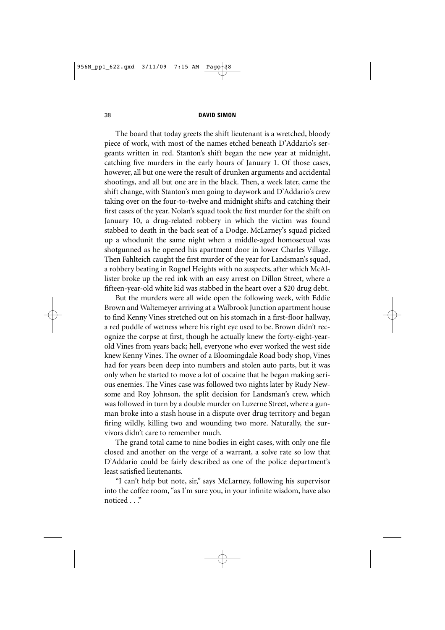The board that today greets the shift lieutenant is a wretched, bloody piece of work, with most of the names etched beneath D'Addario's sergeants written in red. Stanton's shift began the new year at midnight, catching five murders in the early hours of January 1. Of those cases, however, all but one were the result of drunken arguments and accidental shootings, and all but one are in the black. Then, a week later, came the shift change, with Stanton's men going to daywork and D'Addario's crew taking over on the four-to-twelve and midnight shifts and catching their first cases of the year. Nolan's squad took the first murder for the shift on January 10, a drug-related robbery in which the victim was found stabbed to death in the back seat of a Dodge. McLarney's squad picked up a whodunit the same night when a middle-aged homosexual was shotgunned as he opened his apartment door in lower Charles Village. Then Fahlteich caught the first murder of the year for Landsman's squad, a robbery beating in Rognel Heights with no suspects, after which McAllister broke up the red ink with an easy arrest on Dillon Street, where a fifteen-year-old white kid was stabbed in the heart over a \$20 drug debt.

But the murders were all wide open the following week, with Eddie Brown and Waltemeyer arriving at a Walbrook Junction apartment house to find Kenny Vines stretched out on his stomach in a first-floor hallway, a red puddle of wetness where his right eye used to be. Brown didn't recognize the corpse at first, though he actually knew the forty-eight-yearold Vines from years back; hell, everyone who ever worked the west side knew Kenny Vines. The owner of a Bloomingdale Road body shop, Vines had for years been deep into numbers and stolen auto parts, but it was only when he started to move a lot of cocaine that he began making serious enemies. The Vines case was followed two nights later by Rudy Newsome and Roy Johnson, the split decision for Landsman's crew, which was followed in turn by a double murder on Luzerne Street, where a gunman broke into a stash house in a dispute over drug territory and began firing wildly, killing two and wounding two more. Naturally, the survivors didn't care to remember much.

The grand total came to nine bodies in eight cases, with only one file closed and another on the verge of a warrant, a solve rate so low that D'Addario could be fairly described as one of the police department's least satisfied lieutenants.

"I can't help but note, sir," says McLarney, following his supervisor into the coffee room, "as I'm sure you, in your infinite wisdom, have also noticed . . ."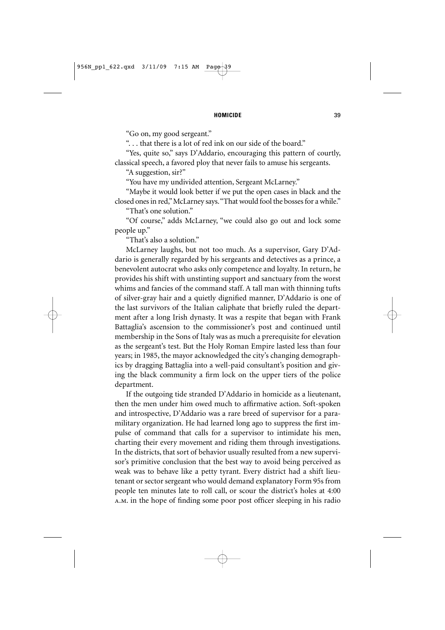"Go on, my good sergeant."

". . . that there is a lot of red ink on our side of the board."

"Yes, quite so," says D'Addario, encouraging this pattern of courtly, classical speech, a favored ploy that never fails to amuse his sergeants.

"A suggestion, sir?"

"You have my undivided attention, Sergeant McLarney."

"Maybe it would look better if we put the open cases in black and the closed ones in red,"McLarney says."That would fool the bosses for a while."

"That's one solution."

"Of course," adds McLarney, "we could also go out and lock some people up."

"That's also a solution."

McLarney laughs, but not too much. As a supervisor, Gary D'Addario is generally regarded by his sergeants and detectives as a prince, a benevolent autocrat who asks only competence and loyalty. In return, he provides his shift with unstinting support and sanctuary from the worst whims and fancies of the command staff. A tall man with thinning tufts of silver-gray hair and a quietly dignified manner, D'Addario is one of the last survivors of the Italian caliphate that briefly ruled the department after a long Irish dynasty. It was a respite that began with Frank Battaglia's ascension to the commissioner's post and continued until membership in the Sons of Italy was as much a prerequisite for elevation as the sergeant's test. But the Holy Roman Empire lasted less than four years; in 1985, the mayor acknowledged the city's changing demographics by dragging Battaglia into a well-paid consultant's position and giving the black community a firm lock on the upper tiers of the police department.

If the outgoing tide stranded D'Addario in homicide as a lieutenant, then the men under him owed much to affirmative action. Soft-spoken and introspective, D'Addario was a rare breed of supervisor for a paramilitary organization. He had learned long ago to suppress the first impulse of command that calls for a supervisor to intimidate his men, charting their every movement and riding them through investigations. In the districts, that sort of behavior usually resulted from a new supervisor's primitive conclusion that the best way to avoid being perceived as weak was to behave like a petty tyrant. Every district had a shift lieutenant or sector sergeant who would demand explanatory Form 95s from people ten minutes late to roll call, or scour the district's holes at 4:00 a.m. in the hope of finding some poor post officer sleeping in his radio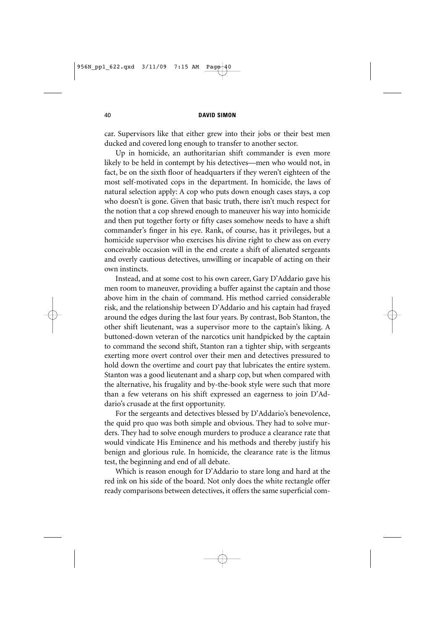car. Supervisors like that either grew into their jobs or their best men ducked and covered long enough to transfer to another sector.

Up in homicide, an authoritarian shift commander is even more likely to be held in contempt by his detectives—men who would not, in fact, be on the sixth floor of headquarters if they weren't eighteen of the most self-motivated cops in the department. In homicide, the laws of natural selection apply: A cop who puts down enough cases stays, a cop who doesn't is gone. Given that basic truth, there isn't much respect for the notion that a cop shrewd enough to maneuver his way into homicide and then put together forty or fifty cases somehow needs to have a shift commander's finger in his eye. Rank, of course, has it privileges, but a homicide supervisor who exercises his divine right to chew ass on every conceivable occasion will in the end create a shift of alienated sergeants and overly cautious detectives, unwilling or incapable of acting on their own instincts.

Instead, and at some cost to his own career, Gary D'Addario gave his men room to maneuver, providing a buffer against the captain and those above him in the chain of command. His method carried considerable risk, and the relationship between D'Addario and his captain had frayed around the edges during the last four years. By contrast, Bob Stanton, the other shift lieutenant, was a supervisor more to the captain's liking. A buttoned-down veteran of the narcotics unit handpicked by the captain to command the second shift, Stanton ran a tighter ship, with sergeants exerting more overt control over their men and detectives pressured to hold down the overtime and court pay that lubricates the entire system. Stanton was a good lieutenant and a sharp cop, but when compared with the alternative, his frugality and by-the-book style were such that more than a few veterans on his shift expressed an eagerness to join D'Addario's crusade at the first opportunity.

For the sergeants and detectives blessed by D'Addario's benevolence, the quid pro quo was both simple and obvious. They had to solve murders. They had to solve enough murders to produce a clearance rate that would vindicate His Eminence and his methods and thereby justify his benign and glorious rule. In homicide, the clearance rate is the litmus test, the beginning and end of all debate.

Which is reason enough for D'Addario to stare long and hard at the red ink on his side of the board. Not only does the white rectangle offer ready comparisons between detectives, it offers the same superficial com-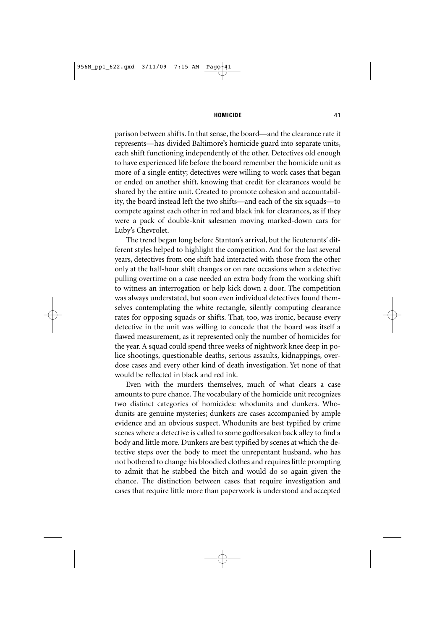parison between shifts. In that sense, the board—and the clearance rate it represents—has divided Baltimore's homicide guard into separate units, each shift functioning independently of the other. Detectives old enough to have experienced life before the board remember the homicide unit as more of a single entity; detectives were willing to work cases that began or ended on another shift, knowing that credit for clearances would be shared by the entire unit. Created to promote cohesion and accountability, the board instead left the two shifts—and each of the six squads—to compete against each other in red and black ink for clearances, as if they were a pack of double-knit salesmen moving marked-down cars for Luby's Chevrolet.

The trend began long before Stanton's arrival, but the lieutenants' different styles helped to highlight the competition. And for the last several years, detectives from one shift had interacted with those from the other only at the half-hour shift changes or on rare occasions when a detective pulling overtime on a case needed an extra body from the working shift to witness an interrogation or help kick down a door. The competition was always understated, but soon even individual detectives found themselves contemplating the white rectangle, silently computing clearance rates for opposing squads or shifts. That, too, was ironic, because every detective in the unit was willing to concede that the board was itself a flawed measurement, as it represented only the number of homicides for the year. A squad could spend three weeks of nightwork knee deep in police shootings, questionable deaths, serious assaults, kidnappings, overdose cases and every other kind of death investigation. Yet none of that would be reflected in black and red ink.

Even with the murders themselves, much of what clears a case amounts to pure chance. The vocabulary of the homicide unit recognizes two distinct categories of homicides: whodunits and dunkers. Whodunits are genuine mysteries; dunkers are cases accompanied by ample evidence and an obvious suspect. Whodunits are best typified by crime scenes where a detective is called to some godforsaken back alley to find a body and little more. Dunkers are best typified by scenes at which the detective steps over the body to meet the unrepentant husband, who has not bothered to change his bloodied clothes and requires little prompting to admit that he stabbed the bitch and would do so again given the chance. The distinction between cases that require investigation and cases that require little more than paperwork is understood and accepted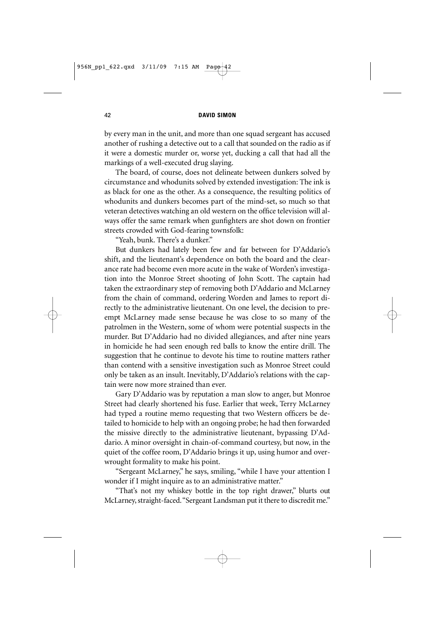by every man in the unit, and more than one squad sergeant has accused another of rushing a detective out to a call that sounded on the radio as if it were a domestic murder or, worse yet, ducking a call that had all the markings of a well-executed drug slaying.

The board, of course, does not delineate between dunkers solved by circumstance and whodunits solved by extended investigation: The ink is as black for one as the other. As a consequence, the resulting politics of whodunits and dunkers becomes part of the mind-set, so much so that veteran detectives watching an old western on the office television will always offer the same remark when gunfighters are shot down on frontier streets crowded with God-fearing townsfolk:

"Yeah, bunk. There's a dunker."

But dunkers had lately been few and far between for D'Addario's shift, and the lieutenant's dependence on both the board and the clearance rate had become even more acute in the wake of Worden's investigation into the Monroe Street shooting of John Scott. The captain had taken the extraordinary step of removing both D'Addario and McLarney from the chain of command, ordering Worden and James to report directly to the administrative lieutenant. On one level, the decision to preempt McLarney made sense because he was close to so many of the patrolmen in the Western, some of whom were potential suspects in the murder. But D'Addario had no divided allegiances, and after nine years in homicide he had seen enough red balls to know the entire drill. The suggestion that he continue to devote his time to routine matters rather than contend with a sensitive investigation such as Monroe Street could only be taken as an insult. Inevitably, D'Addario's relations with the captain were now more strained than ever.

Gary D'Addario was by reputation a man slow to anger, but Monroe Street had clearly shortened his fuse. Earlier that week, Terry McLarney had typed a routine memo requesting that two Western officers be detailed to homicide to help with an ongoing probe; he had then forwarded the missive directly to the administrative lieutenant, bypassing D'Addario. A minor oversight in chain-of-command courtesy, but now, in the quiet of the coffee room, D'Addario brings it up, using humor and overwrought formality to make his point.

"Sergeant McLarney," he says, smiling, "while I have your attention I wonder if I might inquire as to an administrative matter."

"That's not my whiskey bottle in the top right drawer," blurts out McLarney, straight-faced."Sergeant Landsman put it there to discredit me."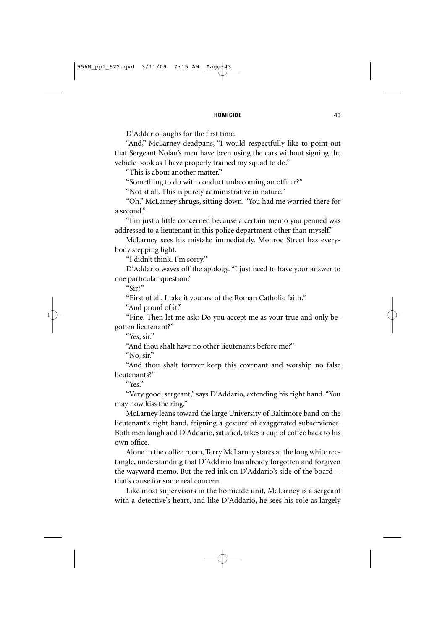D'Addario laughs for the first time.

"And," McLarney deadpans, "I would respectfully like to point out that Sergeant Nolan's men have been using the cars without signing the vehicle book as I have properly trained my squad to do."

"This is about another matter."

"Something to do with conduct unbecoming an officer?"

"Not at all. This is purely administrative in nature."

"Oh." McLarney shrugs, sitting down. "You had me worried there for a second"

"I'm just a little concerned because a certain memo you penned was addressed to a lieutenant in this police department other than myself."

McLarney sees his mistake immediately. Monroe Street has everybody stepping light.

"I didn't think. I'm sorry."

D'Addario waves off the apology. "I just need to have your answer to one particular question."

"Sir?"

"First of all, I take it you are of the Roman Catholic faith."

"And proud of it."

"Fine. Then let me ask: Do you accept me as your true and only begotten lieutenant?"

"Yes, sir"

"And thou shalt have no other lieutenants before me?"

"No, sir."

"And thou shalt forever keep this covenant and worship no false lieutenants?"

"Yes."

"Very good, sergeant," says D'Addario, extending his right hand. "You may now kiss the ring."

McLarney leans toward the large University of Baltimore band on the lieutenant's right hand, feigning a gesture of exaggerated subservience. Both men laugh and D'Addario, satisfied, takes a cup of coffee back to his own office.

Alone in the coffee room, Terry McLarney stares at the long white rectangle, understanding that D'Addario has already forgotten and forgiven the wayward memo. But the red ink on D'Addario's side of the board that's cause for some real concern.

Like most supervisors in the homicide unit, McLarney is a sergeant with a detective's heart, and like D'Addario, he sees his role as largely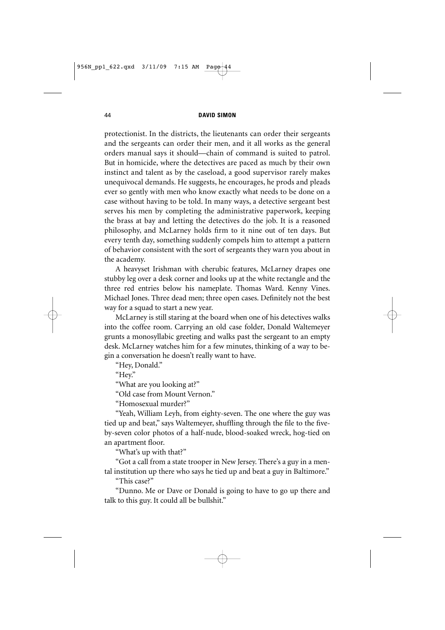protectionist. In the districts, the lieutenants can order their sergeants and the sergeants can order their men, and it all works as the general orders manual says it should—chain of command is suited to patrol. But in homicide, where the detectives are paced as much by their own instinct and talent as by the caseload, a good supervisor rarely makes unequivocal demands. He suggests, he encourages, he prods and pleads ever so gently with men who know exactly what needs to be done on a case without having to be told. In many ways, a detective sergeant best serves his men by completing the administrative paperwork, keeping the brass at bay and letting the detectives do the job. It is a reasoned philosophy, and McLarney holds firm to it nine out of ten days. But every tenth day, something suddenly compels him to attempt a pattern of behavior consistent with the sort of sergeants they warn you about in the academy.

A heavyset Irishman with cherubic features, McLarney drapes one stubby leg over a desk corner and looks up at the white rectangle and the three red entries below his nameplate. Thomas Ward. Kenny Vines. Michael Jones. Three dead men; three open cases. Definitely not the best way for a squad to start a new year.

McLarney is still staring at the board when one of his detectives walks into the coffee room. Carrying an old case folder, Donald Waltemeyer grunts a monosyllabic greeting and walks past the sergeant to an empty desk. McLarney watches him for a few minutes, thinking of a way to begin a conversation he doesn't really want to have.

"Hey, Donald."

"Hey."

"What are you looking at?"

"Old case from Mount Vernon."

"Homosexual murder?"

"Yeah, William Leyh, from eighty-seven. The one where the guy was tied up and beat," says Waltemeyer, shuffling through the file to the fiveby-seven color photos of a half-nude, blood-soaked wreck, hog-tied on an apartment floor.

"What's up with that?"

"Got a call from a state trooper in New Jersey. There's a guy in a mental institution up there who says he tied up and beat a guy in Baltimore."

"This case?"

"Dunno. Me or Dave or Donald is going to have to go up there and talk to this guy. It could all be bullshit."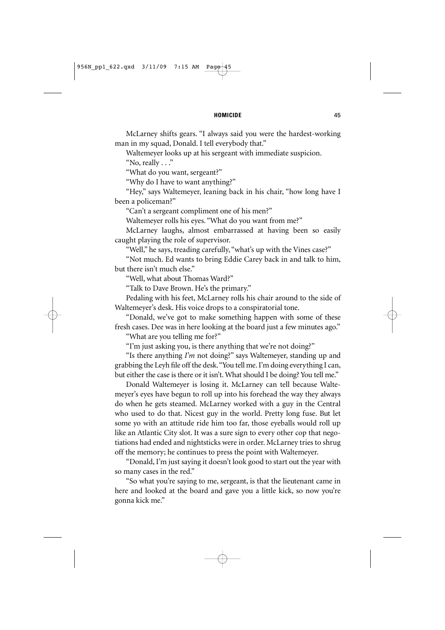McLarney shifts gears. "I always said you were the hardest-working man in my squad, Donald. I tell everybody that."

Waltemeyer looks up at his sergeant with immediate suspicion.

"No, really . . ."

"What do you want, sergeant?"

"Why do I have to want anything?"

"Hey," says Waltemeyer, leaning back in his chair, "how long have I been a policeman?"

"Can't a sergeant compliment one of his men?"

Waltemeyer rolls his eyes. "What do you want from me?"

McLarney laughs, almost embarrassed at having been so easily caught playing the role of supervisor.

"Well," he says, treading carefully, "what's up with the Vines case?"

"Not much. Ed wants to bring Eddie Carey back in and talk to him, but there isn't much else."

"Well, what about Thomas Ward?"

"Talk to Dave Brown. He's the primary."

Pedaling with his feet, McLarney rolls his chair around to the side of Waltemeyer's desk. His voice drops to a conspiratorial tone.

"Donald, we've got to make something happen with some of these fresh cases. Dee was in here looking at the board just a few minutes ago."

"What are you telling me for?"

"I'm just asking you, is there anything that we're not doing?"

"Is there anything *I'm* not doing?" says Waltemeyer, standing up and grabbing the Leyh file off the desk."You tell me. I'm doing everything I can, but either the case is there or it isn't. What should I be doing? You tell me."

Donald Waltemeyer is losing it. McLarney can tell because Waltemeyer's eyes have begun to roll up into his forehead the way they always do when he gets steamed. McLarney worked with a guy in the Central who used to do that. Nicest guy in the world. Pretty long fuse. But let some yo with an attitude ride him too far, those eyeballs would roll up like an Atlantic City slot. It was a sure sign to every other cop that negotiations had ended and nightsticks were in order. McLarney tries to shrug off the memory; he continues to press the point with Waltemeyer.

"Donald, I'm just saying it doesn't look good to start out the year with so many cases in the red."

"So what you're saying to me, sergeant, is that the lieutenant came in here and looked at the board and gave you a little kick, so now you're gonna kick me."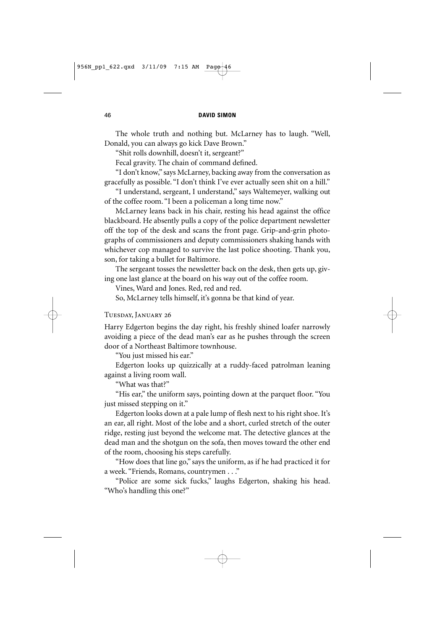The whole truth and nothing but. McLarney has to laugh. "Well, Donald, you can always go kick Dave Brown."

"Shit rolls downhill, doesn't it, sergeant?"

Fecal gravity. The chain of command defined.

"I don't know," says McLarney, backing away from the conversation as gracefully as possible. "I don't think I've ever actually seen shit on a hill."

"I understand, sergeant, I understand," says Waltemeyer, walking out of the coffee room. "I been a policeman a long time now."

McLarney leans back in his chair, resting his head against the office blackboard. He absently pulls a copy of the police department newsletter off the top of the desk and scans the front page. Grip-and-grin photographs of commissioners and deputy commissioners shaking hands with whichever cop managed to survive the last police shooting. Thank you, son, for taking a bullet for Baltimore.

The sergeant tosses the newsletter back on the desk, then gets up, giving one last glance at the board on his way out of the coffee room.

Vines, Ward and Jones. Red, red and red.

So, McLarney tells himself, it's gonna be that kind of year.

# Tuesday, January 26

Harry Edgerton begins the day right, his freshly shined loafer narrowly avoiding a piece of the dead man's ear as he pushes through the screen door of a Northeast Baltimore townhouse.

"You just missed his ear."

Edgerton looks up quizzically at a ruddy-faced patrolman leaning against a living room wall.

"What was that?"

"His ear," the uniform says, pointing down at the parquet floor. "You just missed stepping on it."

Edgerton looks down at a pale lump of flesh next to his right shoe. It's an ear, all right. Most of the lobe and a short, curled stretch of the outer ridge, resting just beyond the welcome mat. The detective glances at the dead man and the shotgun on the sofa, then moves toward the other end of the room, choosing his steps carefully.

"How does that line go," says the uniform, as if he had practiced it for a week. "Friends, Romans, countrymen . . ."

"Police are some sick fucks," laughs Edgerton, shaking his head. "Who's handling this one?"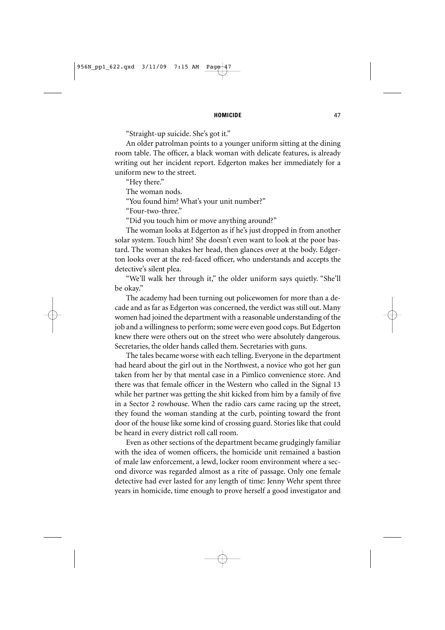"Straight-up suicide. She's got it."

An older patrolman points to a younger uniform sitting at the dining room table. The officer, a black woman with delicate features, is already writing out her incident report. Edgerton makes her immediately for a uniform new to the street.

"Hey there."

The woman nods.

"You found him? What's your unit number?"

"Four-two-three."

"Did you touch him or move anything around?"

The woman looks at Edgerton as if he's just dropped in from another solar system. Touch him? She doesn't even want to look at the poor bastard. The woman shakes her head, then glances over at the body. Edgerton looks over at the red-faced officer, who understands and accepts the detective's silent plea.

"We'll walk her through it," the older uniform says quietly. "She'll be okay."

The academy had been turning out policewomen for more than a decade and as far as Edgerton was concerned, the verdict was still out. Many women had joined the department with a reasonable understanding of the job and a willingness to perform; some were even good cops. But Edgerton knew there were others out on the street who were absolutely dangerous. Secretaries, the older hands called them. Secretaries with guns.

The tales became worse with each telling. Everyone in the department had heard about the girl out in the Northwest, a novice who got her gun taken from her by that mental case in a Pimlico convenience store. And there was that female officer in the Western who called in the Signal 13 while her partner was getting the shit kicked from him by a family of five in a Sector 2 rowhouse. When the radio cars came racing up the street, they found the woman standing at the curb, pointing toward the front door of the house like some kind of crossing guard. Stories like that could be heard in every district roll call room.

Even as other sections of the department became grudgingly familiar with the idea of women officers, the homicide unit remained a bastion of male law enforcement, a lewd, locker room environment where a second divorce was regarded almost as a rite of passage. Only one female detective had ever lasted for any length of time: Jenny Wehr spent three years in homicide, time enough to prove herself a good investigator and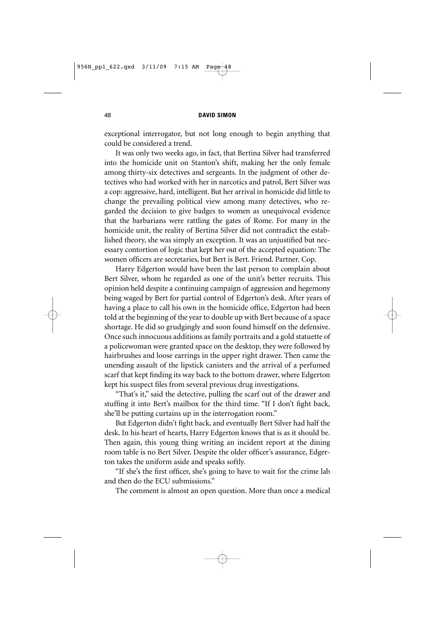exceptional interrogator, but not long enough to begin anything that could be considered a trend.

It was only two weeks ago, in fact, that Bertina Silver had transferred into the homicide unit on Stanton's shift, making her the only female among thirty-six detectives and sergeants. In the judgment of other detectives who had worked with her in narcotics and patrol, Bert Silver was a cop: aggressive, hard, intelligent. But her arrival in homicide did little to change the prevailing political view among many detectives, who regarded the decision to give badges to women as unequivocal evidence that the barbarians were rattling the gates of Rome. For many in the homicide unit, the reality of Bertina Silver did not contradict the established theory, she was simply an exception. It was an unjustified but necessary contortion of logic that kept her out of the accepted equation: The women officers are secretaries, but Bert is Bert. Friend. Partner. Cop.

Harry Edgerton would have been the last person to complain about Bert Silver, whom he regarded as one of the unit's better recruits. This opinion held despite a continuing campaign of aggression and hegemony being waged by Bert for partial control of Edgerton's desk. After years of having a place to call his own in the homicide office, Edgerton had been told at the beginning of the year to double up with Bert because of a space shortage. He did so grudgingly and soon found himself on the defensive. Once such innocuous additions as family portraits and a gold statuette of a policewoman were granted space on the desktop, they were followed by hairbrushes and loose earrings in the upper right drawer. Then came the unending assault of the lipstick canisters and the arrival of a perfumed scarf that kept finding its way back to the bottom drawer, where Edgerton kept his suspect files from several previous drug investigations.

"That's it," said the detective, pulling the scarf out of the drawer and stuffing it into Bert's mailbox for the third time. "If I don't fight back, she'll be putting curtains up in the interrogation room."

But Edgerton didn't fight back, and eventually Bert Silver had half the desk. In his heart of hearts, Harry Edgerton knows that is as it should be. Then again, this young thing writing an incident report at the dining room table is no Bert Silver. Despite the older officer's assurance, Edgerton takes the uniform aside and speaks softly.

"If she's the first officer, she's going to have to wait for the crime lab and then do the ECU submissions"

The comment is almost an open question. More than once a medical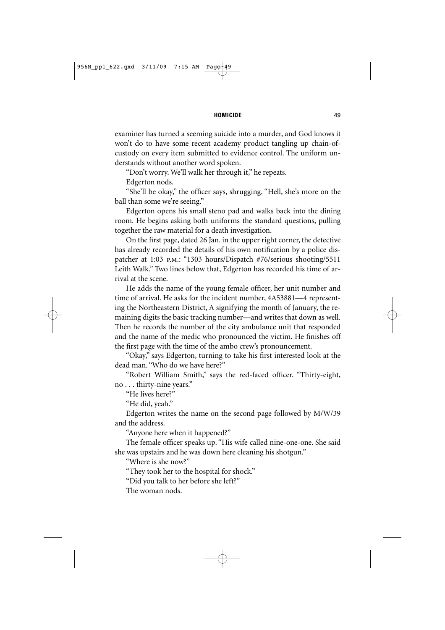examiner has turned a seeming suicide into a murder, and God knows it won't do to have some recent academy product tangling up chain-ofcustody on every item submitted to evidence control. The uniform understands without another word spoken.

"Don't worry. We'll walk her through it," he repeats.

Edgerton nods.

"She'll be okay," the officer says, shrugging. "Hell, she's more on the ball than some we're seeing."

Edgerton opens his small steno pad and walks back into the dining room. He begins asking both uniforms the standard questions, pulling together the raw material for a death investigation.

On the first page, dated 26 Jan. in the upper right corner, the detective has already recorded the details of his own notification by a police dispatcher at 1:03 p.m.: "1303 hours/Dispatch #76/serious shooting/5511 Leith Walk." Two lines below that, Edgerton has recorded his time of arrival at the scene.

He adds the name of the young female officer, her unit number and time of arrival. He asks for the incident number, 4A53881—4 representing the Northeastern District, A signifying the month of January, the remaining digits the basic tracking number—and writes that down as well. Then he records the number of the city ambulance unit that responded and the name of the medic who pronounced the victim. He finishes off the first page with the time of the ambo crew's pronouncement.

"Okay," says Edgerton, turning to take his first interested look at the dead man. "Who do we have here?"

"Robert William Smith," says the red-faced officer. "Thirty-eight, no . . . thirty-nine years."

"He lives here?"

"He did, yeah."

Edgerton writes the name on the second page followed by M/W/39 and the address.

"Anyone here when it happened?"

The female officer speaks up. "His wife called nine-one-one. She said she was upstairs and he was down here cleaning his shotgun."

"Where is she now?"

"They took her to the hospital for shock."

"Did you talk to her before she left?"

The woman nods.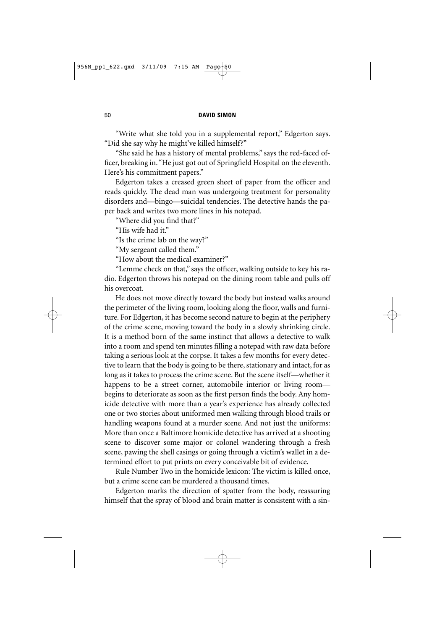"Write what she told you in a supplemental report," Edgerton says. "Did she say why he might've killed himself?"

"She said he has a history of mental problems," says the red-faced officer, breaking in."He just got out of Springfield Hospital on the eleventh. Here's his commitment papers."

Edgerton takes a creased green sheet of paper from the officer and reads quickly. The dead man was undergoing treatment for personality disorders and—bingo—suicidal tendencies. The detective hands the paper back and writes two more lines in his notepad.

"Where did you find that?"

"His wife had it."

"Is the crime lab on the way?"

"My sergeant called them."

"How about the medical examiner?"

"Lemme check on that," says the officer, walking outside to key his radio. Edgerton throws his notepad on the dining room table and pulls off his overcoat.

He does not move directly toward the body but instead walks around the perimeter of the living room, looking along the floor, walls and furniture. For Edgerton, it has become second nature to begin at the periphery of the crime scene, moving toward the body in a slowly shrinking circle. It is a method born of the same instinct that allows a detective to walk into a room and spend ten minutes filling a notepad with raw data before taking a serious look at the corpse. It takes a few months for every detective to learn that the body is going to be there, stationary and intact, for as long as it takes to process the crime scene. But the scene itself—whether it happens to be a street corner, automobile interior or living room begins to deteriorate as soon as the first person finds the body. Any homicide detective with more than a year's experience has already collected one or two stories about uniformed men walking through blood trails or handling weapons found at a murder scene. And not just the uniforms: More than once a Baltimore homicide detective has arrived at a shooting scene to discover some major or colonel wandering through a fresh scene, pawing the shell casings or going through a victim's wallet in a determined effort to put prints on every conceivable bit of evidence.

Rule Number Two in the homicide lexicon: The victim is killed once, but a crime scene can be murdered a thousand times.

Edgerton marks the direction of spatter from the body, reassuring himself that the spray of blood and brain matter is consistent with a sin-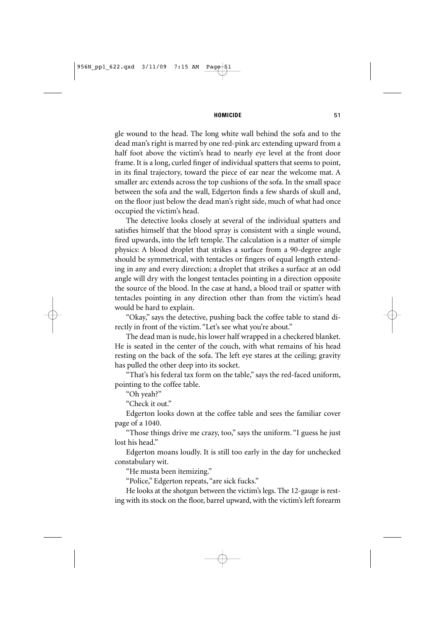gle wound to the head. The long white wall behind the sofa and to the dead man's right is marred by one red-pink arc extending upward from a half foot above the victim's head to nearly eye level at the front door frame. It is a long, curled finger of individual spatters that seems to point, in its final trajectory, toward the piece of ear near the welcome mat. A smaller arc extends across the top cushions of the sofa. In the small space between the sofa and the wall, Edgerton finds a few shards of skull and, on the floor just below the dead man's right side, much of what had once occupied the victim's head.

The detective looks closely at several of the individual spatters and satisfies himself that the blood spray is consistent with a single wound, fired upwards, into the left temple. The calculation is a matter of simple physics: A blood droplet that strikes a surface from a 90-degree angle should be symmetrical, with tentacles or fingers of equal length extending in any and every direction; a droplet that strikes a surface at an odd angle will dry with the longest tentacles pointing in a direction opposite the source of the blood. In the case at hand, a blood trail or spatter with tentacles pointing in any direction other than from the victim's head would be hard to explain.

"Okay," says the detective, pushing back the coffee table to stand directly in front of the victim. "Let's see what you're about."

The dead man is nude, his lower half wrapped in a checkered blanket. He is seated in the center of the couch, with what remains of his head resting on the back of the sofa. The left eye stares at the ceiling; gravity has pulled the other deep into its socket.

"That's his federal tax form on the table," says the red-faced uniform, pointing to the coffee table.

"Oh yeah?"

"Check it out."

Edgerton looks down at the coffee table and sees the familiar cover page of a 1040.

"Those things drive me crazy, too," says the uniform. "I guess he just lost his head."

Edgerton moans loudly. It is still too early in the day for unchecked constabulary wit.

"He musta been itemizing."

"Police," Edgerton repeats, "are sick fucks."

He looks at the shotgun between the victim's legs. The 12-gauge is resting with its stock on the floor, barrel upward, with the victim's left forearm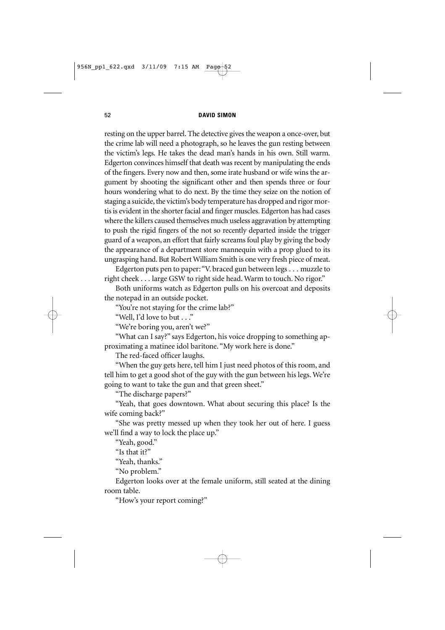resting on the upper barrel. The detective gives the weapon a once-over, but the crime lab will need a photograph, so he leaves the gun resting between the victim's legs. He takes the dead man's hands in his own. Still warm. Edgerton convinces himself that death was recent by manipulating the ends of the fingers. Every now and then, some irate husband or wife wins the argument by shooting the significant other and then spends three or four hours wondering what to do next. By the time they seize on the notion of staging a suicide, the victim's body temperature has dropped and rigor mortis is evident in the shorter facial and finger muscles. Edgerton has had cases where the killers caused themselves much useless aggravation by attempting to push the rigid fingers of the not so recently departed inside the trigger guard of a weapon, an effort that fairly screams foul play by giving the body the appearance of a department store mannequin with a prop glued to its ungrasping hand. But Robert William Smith is one very fresh piece of meat.

Edgerton puts pen to paper:"V. braced gun between legs . . . muzzle to right cheek . . . large GSW to right side head. Warm to touch. No rigor."

Both uniforms watch as Edgerton pulls on his overcoat and deposits the notepad in an outside pocket.

"You're not staying for the crime lab?"

"Well, I'd love to but . . ."

"We're boring you, aren't we?"

"What can I say?" says Edgerton, his voice dropping to something approximating a matinee idol baritone. "My work here is done."

The red-faced officer laughs.

"When the guy gets here, tell him I just need photos of this room, and tell him to get a good shot of the guy with the gun between his legs. We're going to want to take the gun and that green sheet."

"The discharge papers?"

"Yeah, that goes downtown. What about securing this place? Is the wife coming back?"

"She was pretty messed up when they took her out of here. I guess we'll find a way to lock the place up."

"Yeah, good."

"Is that it?"

"Yeah, thanks."

"No problem."

Edgerton looks over at the female uniform, still seated at the dining room table.

"How's your report coming?"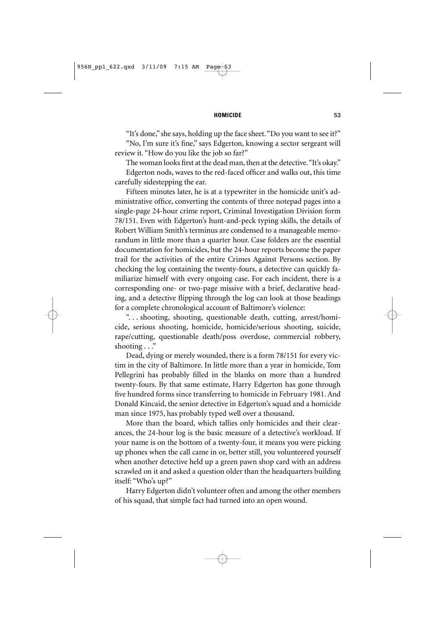"It's done," she says, holding up the face sheet."Do you want to see it?"

"No, I'm sure it's fine," says Edgerton, knowing a sector sergeant will review it. "How do you like the job so far?"

The woman looks first at the dead man, then at the detective."It's okay." Edgerton nods, waves to the red-faced officer and walks out, this time carefully sidestepping the ear.

Fifteen minutes later, he is at a typewriter in the homicide unit's administrative office, converting the contents of three notepad pages into a single-page 24-hour crime report, Criminal Investigation Division form 78/151. Even with Edgerton's hunt-and-peck typing skills, the details of Robert William Smith's terminus are condensed to a manageable memorandum in little more than a quarter hour. Case folders are the essential documentation for homicides, but the 24-hour reports become the paper trail for the activities of the entire Crimes Against Persons section. By checking the log containing the twenty-fours, a detective can quickly familiarize himself with every ongoing case. For each incident, there is a corresponding one- or two-page missive with a brief, declarative heading, and a detective flipping through the log can look at those headings for a complete chronological account of Baltimore's violence:

". . . shooting, shooting, questionable death, cutting, arrest/homicide, serious shooting, homicide, homicide/serious shooting, suicide, rape/cutting, questionable death/poss overdose, commercial robbery, shooting . . ."

Dead, dying or merely wounded, there is a form 78/151 for every victim in the city of Baltimore. In little more than a year in homicide, Tom Pellegrini has probably filled in the blanks on more than a hundred twenty-fours. By that same estimate, Harry Edgerton has gone through five hundred forms since transferring to homicide in February 1981. And Donald Kincaid, the senior detective in Edgerton's squad and a homicide man since 1975, has probably typed well over a thousand.

More than the board, which tallies only homicides and their clearances, the 24-hour log is the basic measure of a detective's workload. If your name is on the bottom of a twenty-four, it means you were picking up phones when the call came in or, better still, you volunteered yourself when another detective held up a green pawn shop card with an address scrawled on it and asked a question older than the headquarters building itself: "Who's up?"

Harry Edgerton didn't volunteer often and among the other members of his squad, that simple fact had turned into an open wound.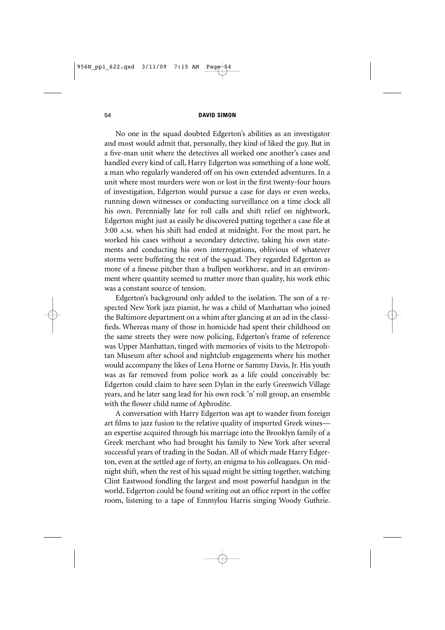No one in the squad doubted Edgerton's abilities as an investigator and most would admit that, personally, they kind of liked the guy. But in a five-man unit where the detectives all worked one another's cases and handled every kind of call, Harry Edgerton was something of a lone wolf, a man who regularly wandered off on his own extended adventures. In a unit where most murders were won or lost in the first twenty-four hours of investigation, Edgerton would pursue a case for days or even weeks, running down witnesses or conducting surveillance on a time clock all his own. Perennially late for roll calls and shift relief on nightwork, Edgerton might just as easily be discovered putting together a case file at 3:00 a.m. when his shift had ended at midnight. For the most part, he worked his cases without a secondary detective, taking his own statements and conducting his own interrogations, oblivious of whatever storms were buffeting the rest of the squad. They regarded Edgerton as more of a finesse pitcher than a bullpen workhorse, and in an environment where quantity seemed to matter more than quality, his work ethic was a constant source of tension.

Edgerton's background only added to the isolation. The son of a respected New York jazz pianist, he was a child of Manhattan who joined the Baltimore department on a whim after glancing at an ad in the classifieds. Whereas many of those in homicide had spent their childhood on the same streets they were now policing, Edgerton's frame of reference was Upper Manhattan, tinged with memories of visits to the Metropolitan Museum after school and nightclub engagements where his mother would accompany the likes of Lena Horne or Sammy Davis, Jr. His youth was as far removed from police work as a life could conceivably be: Edgerton could claim to have seen Dylan in the early Greenwich Village years, and he later sang lead for his own rock 'n' roll group, an ensemble with the flower child name of Aphrodite.

A conversation with Harry Edgerton was apt to wander from foreign art films to jazz fusion to the relative quality of imported Greek wines an expertise acquired through his marriage into the Brooklyn family of a Greek merchant who had brought his family to New York after several successful years of trading in the Sudan. All of which made Harry Edgerton, even at the settled age of forty, an enigma to his colleagues. On midnight shift, when the rest of his squad might be sitting together, watching Clint Eastwood fondling the largest and most powerful handgun in the world, Edgerton could be found writing out an office report in the coffee room, listening to a tape of Emmylou Harris singing Woody Guthrie.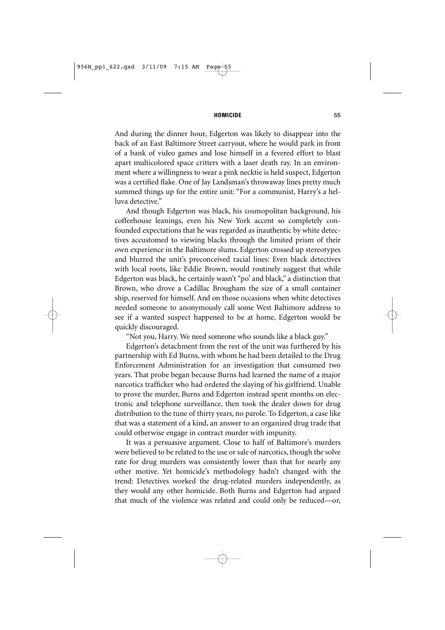And during the dinner hour, Edgerton was likely to disappear into the back of an East Baltimore Street carryout, where he would park in front of a bank of video games and lose himself in a fevered effort to blast apart multicolored space critters with a laser death ray. In an environment where a willingness to wear a pink necktie is held suspect, Edgerton was a certified flake. One of Jay Landsman's throwaway lines pretty much summed things up for the entire unit: "For a communist, Harry's a helluva detective"

And though Edgerton was black, his cosmopolitan background, his coffeehouse leanings, even his New York accent so completely confounded expectations that he was regarded as inauthentic by white detectives accustomed to viewing blacks through the limited prism of their own experience in the Baltimore slums. Edgerton crossed up stereotypes and blurred the unit's preconceived racial lines: Even black detectives with local roots, like Eddie Brown, would routinely suggest that while Edgerton was black, he certainly wasn't "po' and black," a distinction that Brown, who drove a Cadillac Brougham the size of a small container ship, reserved for himself. And on those occasions when white detectives needed someone to anonymously call some West Baltimore address to see if a wanted suspect happened to be at home, Edgerton would be quickly discouraged.

"Not you, Harry. We need someone who sounds like a black guy."

Edgerton's detachment from the rest of the unit was furthered by his partnership with Ed Burns, with whom he had been detailed to the Drug Enforcement Administration for an investigation that consumed two years. That probe began because Burns had learned the name of a major narcotics trafficker who had ordered the slaying of his girlfriend. Unable to prove the murder, Burns and Edgerton instead spent months on electronic and telephone surveillance, then took the dealer down for drug distribution to the tune of thirty years, no parole. To Edgerton, a case like that was a statement of a kind, an answer to an organized drug trade that could otherwise engage in contract murder with impunity.

It was a persuasive argument. Close to half of Baltimore's murders were believed to be related to the use or sale of narcotics, though the solve rate for drug murders was consistently lower than that for nearly any other motive. Yet homicide's methodology hadn't changed with the trend: Detectives worked the drug-related murders independently, as they would any other homicide. Both Burns and Edgerton had argued that much of the violence was related and could only be reduced—or,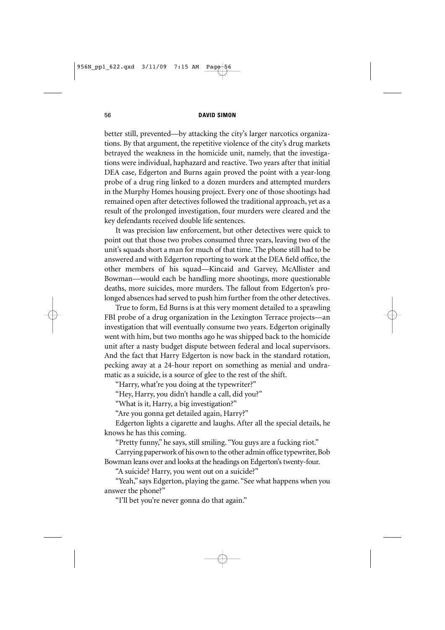better still, prevented—by attacking the city's larger narcotics organizations. By that argument, the repetitive violence of the city's drug markets betrayed the weakness in the homicide unit, namely, that the investigations were individual, haphazard and reactive. Two years after that initial DEA case, Edgerton and Burns again proved the point with a year-long probe of a drug ring linked to a dozen murders and attempted murders in the Murphy Homes housing project. Every one of those shootings had remained open after detectives followed the traditional approach, yet as a result of the prolonged investigation, four murders were cleared and the key defendants received double life sentences.

It was precision law enforcement, but other detectives were quick to point out that those two probes consumed three years, leaving two of the unit's squads short a man for much of that time. The phone still had to be answered and with Edgerton reporting to work at the DEA field office, the other members of his squad—Kincaid and Garvey, McAllister and Bowman—would each be handling more shootings, more questionable deaths, more suicides, more murders. The fallout from Edgerton's prolonged absences had served to push him further from the other detectives.

True to form, Ed Burns is at this very moment detailed to a sprawling FBI probe of a drug organization in the Lexington Terrace projects—an investigation that will eventually consume two years. Edgerton originally went with him, but two months ago he was shipped back to the homicide unit after a nasty budget dispute between federal and local supervisors. And the fact that Harry Edgerton is now back in the standard rotation, pecking away at a 24-hour report on something as menial and undramatic as a suicide, is a source of glee to the rest of the shift.

"Harry, what're you doing at the typewriter?"

"Hey, Harry, you didn't handle a call, did you?"

"What is it, Harry, a big investigation?"

"Are you gonna get detailed again, Harry?"

Edgerton lights a cigarette and laughs. After all the special details, he knows he has this coming.

"Pretty funny," he says, still smiling. "You guys are a fucking riot."

Carrying paperwork of his own to the other admin office typewriter, Bob Bowman leans over and looks at the headings on Edgerton's twenty-four.

"A suicide? Harry, you went out on a suicide?"

"Yeah," says Edgerton, playing the game. "See what happens when you answer the phone?"

"I'll bet you're never gonna do that again."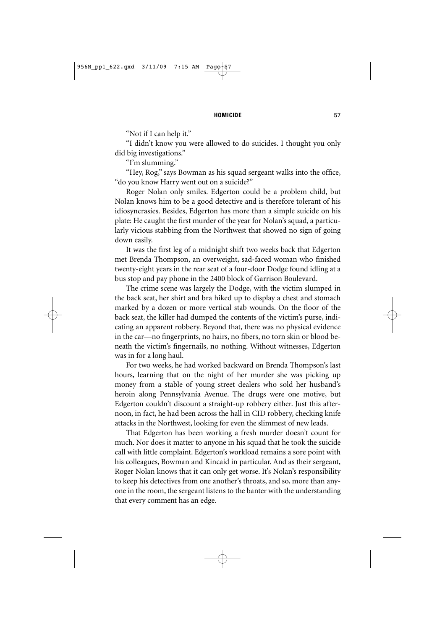"Not if I can help it."

"I didn't know you were allowed to do suicides. I thought you only did big investigations."

"I'm slumming."

"Hey, Rog," says Bowman as his squad sergeant walks into the office, "do you know Harry went out on a suicide?"

Roger Nolan only smiles. Edgerton could be a problem child, but Nolan knows him to be a good detective and is therefore tolerant of his idiosyncrasies. Besides, Edgerton has more than a simple suicide on his plate: He caught the first murder of the year for Nolan's squad, a particularly vicious stabbing from the Northwest that showed no sign of going down easily.

It was the first leg of a midnight shift two weeks back that Edgerton met Brenda Thompson, an overweight, sad-faced woman who finished twenty-eight years in the rear seat of a four-door Dodge found idling at a bus stop and pay phone in the 2400 block of Garrison Boulevard.

The crime scene was largely the Dodge, with the victim slumped in the back seat, her shirt and bra hiked up to display a chest and stomach marked by a dozen or more vertical stab wounds. On the floor of the back seat, the killer had dumped the contents of the victim's purse, indicating an apparent robbery. Beyond that, there was no physical evidence in the car—no fingerprints, no hairs, no fibers, no torn skin or blood beneath the victim's fingernails, no nothing. Without witnesses, Edgerton was in for a long haul.

For two weeks, he had worked backward on Brenda Thompson's last hours, learning that on the night of her murder she was picking up money from a stable of young street dealers who sold her husband's heroin along Pennsylvania Avenue. The drugs were one motive, but Edgerton couldn't discount a straight-up robbery either. Just this afternoon, in fact, he had been across the hall in CID robbery, checking knife attacks in the Northwest, looking for even the slimmest of new leads.

That Edgerton has been working a fresh murder doesn't count for much. Nor does it matter to anyone in his squad that he took the suicide call with little complaint. Edgerton's workload remains a sore point with his colleagues, Bowman and Kincaid in particular. And as their sergeant, Roger Nolan knows that it can only get worse. It's Nolan's responsibility to keep his detectives from one another's throats, and so, more than anyone in the room, the sergeant listens to the banter with the understanding that every comment has an edge.